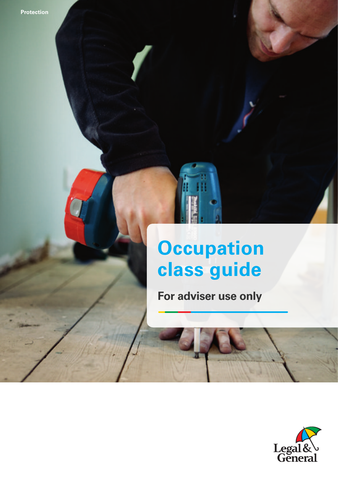**Occupation contracts guide 1** *Occupation* **<b>1** *Occupation <b>1 Occupation 1 <i>Occupation* **<b>1** *Occupation*

# **Occupation class guide**

**For adviser use only**

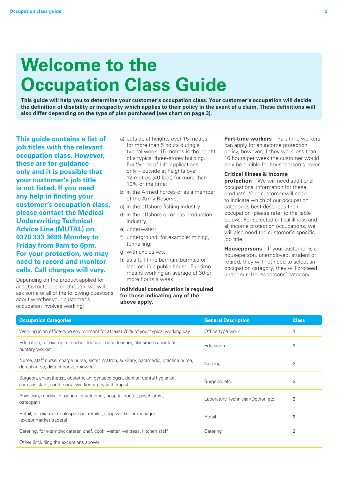# **Welcome to the Occupation Class Guide**

**This guide will help you to determine your customer's occupation class. Your customer's occupation will decide the definition of disability or incapacity which applies to their policy in the event of a claim. These definitions will also differ depending on the type of plan purchased (see chart on page 3).**

**This guide contains a list of job titles with the relevant occupation class. However, these are for guidance only and it is possible that your customer's job title is not listed. If you need any help in finding your customer's occupation class, please contact the Medical Underwriting Technical Advice Line (MUTAL) on 0370 333 3699 Monday to Friday from 9am to 6pm. For your protection, we may need to record and monitor calls. Call charges will vary.**

Depending on the product applied for and the route applied through, we will ask some or all of the following questions about whether your customer's occupation involves working:

- a) outside at heights over 15 metres for more than 5 hours during a typical week. 15 metres is the height of a typical three-storey building. For Whole of Life applications only – outside at heights over 12 metres (40 feet) for more than 10% of the time;
- b) in the Armed Forces or as a member of the Army Reserve;
- c) in the offshore fishing industry;
- d) in the offshore oil or gas production industry;
- e) underwater;
- f) underground, for example: mining, tunnelling;
- g) with explosives;
- h) as a full-time barman, barmaid or landlord in a public house. Full time means working an average of 30 or more hours a week.

#### **Individual consideration is required for those indicating any of the above apply.**

**Part-time workers** – Part-time workers can apply for an income protection policy, however, if they work less than 16 hours per week the customer would only be eligible for houseperson's cover.

#### **Critical illness & income**

**protection** – We will need additional occupational information for these products. Your customer will need to indicate which of our occupation categories best describes their occupation (please refer to the table below). For selected critical illness and all income protection occupations, we will also need the customer's specific job title.

**Housepersons** – If your customer is a houseperson, unemployed, student or retired, they will not need to select an occupation category, they will proceed under our 'Housepersons' category.

| <b>Occupation Categories</b>                                                                                                              | <b>General Description</b>         | <b>Class</b> |
|-------------------------------------------------------------------------------------------------------------------------------------------|------------------------------------|--------------|
| Working in an office-type environment for at least 75% of your typical working day                                                        | Office type work                   |              |
| Education, for example: teacher, lecturer, head teacher, classroom assistant,<br>nursery worker                                           | Education                          | 3            |
| Nurse, staff nurse, charge nurse, sister, matron, auxiliary, paramedic, practice nurse,<br>dental nurse, district nurse, midwife          | Nursing                            | 3            |
| Surgeon, anaesthetist, obstetrician, gynaecologist, dentist, dental hygienist,<br>care assistant, carer, social worker or physiotherapist | Surgeon, etc.                      | 3            |
| Physician, medical or general practitioner, hospital doctor, psychiatrist,<br>osteopath                                                   | Laboratory Technician/Doctor, etc. | 2            |
| Retail, for example: salesperson, retailer, shop worker or manager<br>(except market traders)                                             | Retail                             | 2            |
| Catering, for example: caterer, chef, cook, waiter, waitress, kitchen staff                                                               | Catering                           | 2            |
| Other (including the exceptions above)                                                                                                    |                                    |              |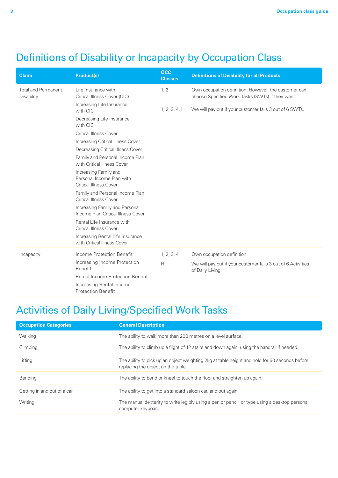# Definitions of Disability or Incapacity by Occupation Class

| <b>Claim</b>                             | <b>Product(s)</b>                                                                   | <b>OCC</b><br><b>Classes</b> | <b>Definitions of Disability for all Products</b>                                                        |
|------------------------------------------|-------------------------------------------------------------------------------------|------------------------------|----------------------------------------------------------------------------------------------------------|
| <b>Total and Permanent</b><br>Disability | Life Insurance with<br>Critical Illness Cover (CIC)                                 | 1, 2                         | Own occupation definition. However, the customer can<br>choose Specified Work Tasks (SWTs) if they want. |
|                                          | Increasing Life Insurance<br>with CIC                                               | 1, 2, 3, 4, H                | We will pay out if your customer fails 3 out of 6 SWTs.                                                  |
|                                          | Decreasing Life Insurance<br>with CIC                                               |                              |                                                                                                          |
|                                          | <b>Critical Illness Cover</b>                                                       |                              |                                                                                                          |
|                                          | Increasing Critical Illness Cover                                                   |                              |                                                                                                          |
|                                          | Decreasing Critical Illness Cover                                                   |                              |                                                                                                          |
|                                          | Family and Personal Income Plan<br>with Critical Illness Cover                      |                              |                                                                                                          |
|                                          | Increasing Family and<br>Personal Income Plan with<br><b>Critical Illness Cover</b> |                              |                                                                                                          |
|                                          | Family and Personal Income Plan<br><b>Critical Illness Cover</b>                    |                              |                                                                                                          |
|                                          | Increasing Family and Personal<br>Income Plan Critical Illness Cover                |                              |                                                                                                          |
|                                          | Rental Life Insurance with<br><b>Critical Illness Cover</b>                         |                              |                                                                                                          |
|                                          | Increasing Rental Life Insurance<br>with Critical Illness Cover                     |                              |                                                                                                          |
| Incapacity                               | Income Protection Benefit                                                           | 1, 2, 3, 4                   | Own occupation definition.                                                                               |
|                                          | Increasing Income Protection<br><b>Benefit</b>                                      | Н                            | We will pay out if your customer fails 3 out of 6 Activities<br>of Daily Living.                         |
|                                          | <b>Rental Income Protection Benefit</b>                                             |                              |                                                                                                          |
|                                          | Increasing Rental Income<br><b>Protection Benefit</b>                               |                              |                                                                                                          |

# Activities of Daily Living/Specified Work Tasks

| <b>Occupation Categories</b> | <b>General Description</b>                                                                                                          |
|------------------------------|-------------------------------------------------------------------------------------------------------------------------------------|
| Walking                      | The ability to walk more than 200 metres on a level surface.                                                                        |
| Climbing                     | The ability to climb up a flight of 12 stairs and down again, using the handrail if needed.                                         |
| Lifting                      | The ability to pick up an object weighting 2kg at table height and hold for 60 seconds before<br>replacing the object on the table. |
| Bending                      | The ability to bend or kneel to touch the floor and straighten up again.                                                            |
| Getting in and out of a car  | The ability to get into a standard saloon car, and out again.                                                                       |
| Writing                      | The manual dexterity to write legibly using a pen or pencil, or type using a desktop personal<br>computer keyboard.                 |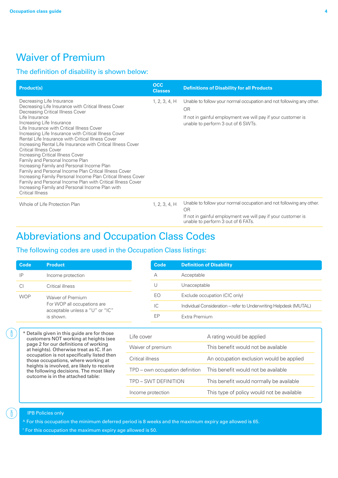## Waiver of Premium

#### The definition of disability is shown below:

| <b>Product(s)</b>                                                                                                                                                                                                                                                                                                                                                                                                                                                                                                                                                                                                                                                                                                                                                                                                          | occ<br><b>Classes</b> | <b>Definitions of Disability for all Products</b>                                                                                                                                |
|----------------------------------------------------------------------------------------------------------------------------------------------------------------------------------------------------------------------------------------------------------------------------------------------------------------------------------------------------------------------------------------------------------------------------------------------------------------------------------------------------------------------------------------------------------------------------------------------------------------------------------------------------------------------------------------------------------------------------------------------------------------------------------------------------------------------------|-----------------------|----------------------------------------------------------------------------------------------------------------------------------------------------------------------------------|
| Decreasing Life Insurance<br>Decreasing Life Insurance with Critical Illness Cover<br>Decreasing Critical Illness Cover<br>Life Insurance<br>Increasing Life Insurance<br>Life Insurance with Critical Illness Cover<br>Increasing Life Insurance with Critical Illness Cover<br>Rental Life Insurance with Critical Illness Cover<br>Increasing Rental Life Insurance with Critical Illness Cover<br><b>Critical Illness Cover</b><br>Increasing Critical Illness Cover<br>Family and Personal Income Plan<br>Increasing Family and Personal Income Plan<br>Family and Personal Income Plan Critical Illness Cover<br>Increasing Family Personal Income Plan Critical Illness Cover<br>Family and Personal Income Plan with Critical Illness Cover<br>Increasing Family and Personal Income Plan with<br>Critical Illness | 1, 2, 3, 4, H         | Unable to follow your normal occupation and not following any other.<br>OR<br>If not in gainful employment we will pay if your customer is<br>unable to perform 3 out of 6 SWTs. |
| Whole of Life Protection Plan                                                                                                                                                                                                                                                                                                                                                                                                                                                                                                                                                                                                                                                                                                                                                                                              | 1, 2, 3, 4, H         | Unable to follow your normal occupation and not following any other.<br>ΟR                                                                                                       |

If not in gainful employment we will pay if your customer is unable to perform 3 out of 6 FATs.

## Abbreviations and Occupation Class Codes

#### The following codes are used in the Occupation Class listings:

| Code       | <b>Product</b>                                                 | Code | <b>Definition of Disability</b>                                   |
|------------|----------------------------------------------------------------|------|-------------------------------------------------------------------|
| IP         | Income protection                                              | A    | Acceptable                                                        |
| СI         | Critical illness                                               | U    | Unacceptable                                                      |
| <b>WOP</b> | Waiver of Premium                                              |      | Exclude occupation (CIC only)                                     |
|            | For WOP all occupations are<br>acceptable unless a "U" or "IC" | IС   | Individual Consideration - refer to Underwriting Helpdesk (MUTAL) |
|            | is shown.                                                      | EP   | Extra Premium                                                     |
|            |                                                                |      |                                                                   |

\* Details given in this guide are for those customers NOT working at heights (see page 2 for our definitions of working at heights). Otherwise treat as IC. If an occupation is not specifically listed then those occupations, where working at heights is involved, are likely to receive the following decisions. The most likely outcome is in the attached table:

| Life cover                      | A rating would be applied                  |
|---------------------------------|--------------------------------------------|
| Waiver of premium               | This benefit would not be available        |
| Critical illness                | An occupation exclusion would be applied   |
| TPD – own occupation definition | This benefit would not be available        |
| TPD – SWT DEFINITION            | This benefit would normally be available   |
| Income protection               | This type of policy would not be available |

#### IPB Policies only

ျိ

**Code Product**

WOP

^ For this occupation the minimum deferred period is 8 weeks and the maximum expiry age allowed is 65.

† For this occupation the maximum expiry age allowed is 50.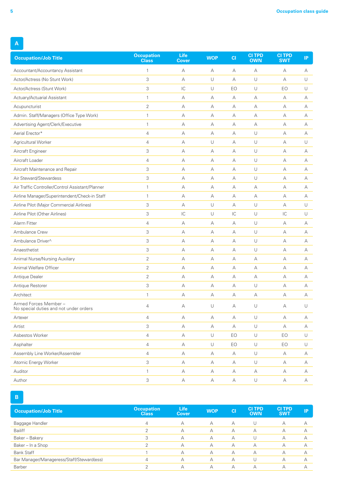| <b>Occupation/Job Title</b>                                    | <b>Occupation</b><br><b>Class</b> | Life<br><b>Cover</b>     | <b>WOP</b> | CI            | <b>CITPD</b><br><b>OWN</b> | <b>CITPD</b><br><b>SWT</b> | IP     |
|----------------------------------------------------------------|-----------------------------------|--------------------------|------------|---------------|----------------------------|----------------------------|--------|
| Accountant/Accountancy Assistant                               | $\mathbf{1}$                      | A                        | A          | А             | $\forall$                  | А                          | А      |
| Actor/Actress (No Stunt Work)                                  | 3                                 | A                        | $\cup$     | A             | U                          | A                          | U      |
| Actor/Actress (Stunt Work)                                     | 3                                 | $\overline{\mathsf{IC}}$ | $\cup$     | EO            | U                          | EO                         | U      |
| Actuary/Actuarial Assistant                                    | $\mathbf{1}$                      | А                        | А          | А             | А                          | А                          | A      |
| Acupuncturist                                                  | $\overline{2}$                    | А                        | А          | А             | А                          | А                          | А      |
| Admin. Staff/Managers (Office Type Work)                       | $\mathbf{1}$                      | А                        | А          | А             | А                          | А                          | А      |
| Advertising Agent/Clerk/Executive                              | $\mathbf{1}$                      | А                        | А          | А             | А                          | А                          | А      |
| Aerial Erector*                                                | $\overline{4}$                    | А                        | А          | А             | U                          | А                          | А      |
| Agricultural Worker                                            | $\overline{4}$                    | А                        | $\cup$     | A             | $\cup$                     | A                          | $\cup$ |
| Aircraft Engineer                                              | 3                                 | А                        | А          | А             | U                          | А                          | А      |
| Aircraft Loader                                                | $\overline{4}$                    | А                        | А          | А             | $\cup$                     | А                          | А      |
| Aircraft Maintenance and Repair                                | 3                                 | А                        | А          | A             | U                          | A                          | А      |
| Air Steward/Stewardess                                         | 3                                 | А                        | А          | А             | $\cup$                     | А                          | А      |
| Air Traffic Controller/Control Assistant/Planner               | $\mathbf{1}$                      | А                        | А          | Α             | А                          | А                          | А      |
| Airline Manager/Superintendent/Check-in Staff                  | $\mathbf{1}$                      | А                        | А          | А             | А                          | А                          | А      |
| Airline Pilot (Major Commercial Airlines)                      | 3                                 | А                        | $\cup$     | А             | $\cup$                     | А                          | U      |
| Airline Pilot (Other Airlines)                                 | 3                                 | $\overline{C}$           | $\cup$     | $\mathsf{IC}$ | $\cup$                     | $\mathsf{IC}$              | $\cup$ |
| Alarm Fitter                                                   | $\overline{4}$                    | А                        | А          | А             | U                          | А                          | А      |
| Ambulance Crew                                                 | 3                                 | А                        | А          | А             | U                          | А                          | А      |
| Ambulance Driver^                                              | 3                                 | А                        | А          | А             | $\cup$                     | А                          | А      |
| Anaesthetist                                                   | 3                                 | А                        | А          | А             | U                          | А                          | А      |
| Animal Nurse/Nursing Auxiliary                                 | $\overline{2}$                    | А                        | А          | А             | А                          | А                          | А      |
| Animal Welfare Officer                                         | $\overline{2}$                    | А                        | А          | A             | A                          | A                          | A      |
| Antique Dealer                                                 | $\overline{2}$                    | А                        | А          | А             | А                          | А                          | А      |
| Antique Restorer                                               | 3                                 | А                        | А          | Α             | $\cup$                     | А                          | А      |
| Architect                                                      | $\mathbf{1}$                      | А                        | А          | А             | А                          | А                          | A      |
| Armed Forces Member-<br>No special duties and not under orders | $\overline{4}$                    | A                        | U          | А             | U                          | А                          | U      |
| Artexer                                                        | $\overline{4}$                    | А                        | А          | А             | U                          | А                          | А      |
| Artist                                                         | 3                                 | $\mathbb A$              | $\forall$  | $\mathsf A$   | $\cup$                     | А                          | А      |
| Asbestos Worker                                                | $\overline{4}$                    | А                        | $\cup$     | EO            | $\cup$                     | EO                         | $\cup$ |
| Asphalter                                                      | $\overline{4}$                    | А                        | $\cup$     | EO            | $\cup$                     | EO                         | U      |
| Assembly Line Worker/Assembler                                 | $\overline{4}$                    | $\mathbb A$              | $\forall$  | $\mathsf A$   | $\cup$                     | А                          | А      |
| Atomic Energy Worker                                           | 3                                 | А                        | А          | А             | $\cup$                     | А                          | А      |
| Auditor                                                        | $\mathbf{1}$                      | А                        | А          | А             | А                          | А                          | А      |
| Author                                                         | 3                                 | $\mathbb A$              | $\forall$  | А             | $\cup$                     | А                          | А      |

**B**

| <b>Occupation/Job Title</b>               | <b>Occupation</b><br><b>Class</b> | <b>Life</b><br><b>Cover</b> | <b>WOP</b> | C1 | <b>CITPD</b><br><b>OWN</b> | <b>CITPD</b><br><b>SWT</b> | IP |
|-------------------------------------------|-----------------------------------|-----------------------------|------------|----|----------------------------|----------------------------|----|
| Baggage Handler                           | $\overline{4}$                    | А                           | A          | А  |                            | А                          |    |
| <b>Bailiff</b>                            | ↷                                 | А                           | А          | А  | А                          | А                          |    |
| Baker - Bakery                            | 3                                 | А                           | А          | А  |                            | А                          |    |
| Baker - In a Shop                         |                                   | А                           | A          | А  | А                          | А                          |    |
| <b>Bank Staff</b>                         |                                   | А                           | A          | А  | А                          | А                          |    |
| Bar Manager/Manageress/Staff/Steward(ess) | $\overline{4}$                    | А                           | A          | А  |                            | А                          |    |
| <b>Barber</b>                             | ⌒                                 | А                           | A          | А  | А                          | А                          |    |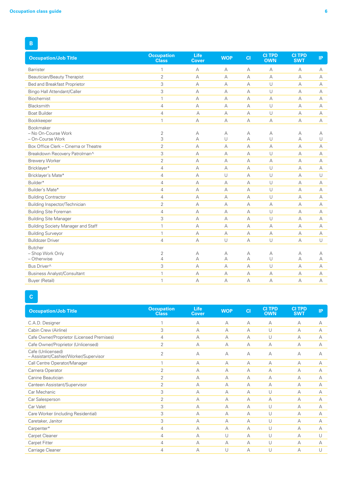| <b>Occupation/Job Title</b>               | <b>Occupation</b><br><b>Class</b> | Life<br><b>Cover</b> | <b>WOP</b> | CI | <b>CITPD</b><br><b>OWN</b> | <b>CI TPD</b><br><b>SWT</b> | IP        |
|-------------------------------------------|-----------------------------------|----------------------|------------|----|----------------------------|-----------------------------|-----------|
| <b>Barrister</b>                          |                                   | A                    | A          | А  | А                          | А                           | А         |
| Beautician/Beauty Therapist               | $\overline{2}$                    | А                    | А          | А  | А                          | А                           | А         |
| Bed and Breakfast Proprietor              | 3                                 | $\forall$            | А          | A  | $\cup$                     | А                           | A         |
| <b>Bingo Hall Attendant/Caller</b>        | 3                                 | А                    | А          | A  | U                          | A                           | A         |
| Biochemist                                | $\mathbf{1}$                      | $\forall$            | A          | А  | A                          | А                           | A         |
| Blacksmith                                | $\overline{4}$                    | $\forall$            | A          | A  | $\cup$                     | A                           | A         |
| <b>Boat Builder</b>                       | 4                                 | А                    | А          | А  | U                          | А                           | A         |
| Bookkeeper                                | $\mathbf{1}$                      | А                    | А          | А  | А                          | А                           | A         |
| Bookmaker                                 |                                   |                      |            |    |                            |                             |           |
| - No On-Course Work                       | $\overline{2}$                    | А                    | А          | А  | А                          | А                           | А         |
| - On-Course Work                          | 3                                 | А                    | U          | A  | U                          | А                           | U         |
| Box Office Clerk - Cinema or Theatre      | $\overline{2}$                    | $\forall$            | A          | A  | $\forall$                  | A                           | A         |
| Breakdown Recovery Patrolman^             | 3                                 | $\forall$            | A          | А  | $\cup$                     | A                           | А         |
| <b>Brewery Worker</b>                     | $\overline{2}$                    | $\forall$            | A          | А  | A                          | А                           | А         |
| Bricklayer*                               | $\overline{4}$                    | А                    | А          | А  | U                          | А                           | A         |
| Bricklayer's Mate*                        | $\overline{4}$                    | А                    | $\cup$     | A  | $\cup$                     | A                           | U         |
| Builder*                                  | $\overline{4}$                    | А                    | А          | A  | $\cup$                     | A                           | A         |
| Builder's Mate*                           | $\overline{4}$                    | $\forall$            | A          | А  | $\cup$                     | A                           | A         |
| <b>Building Contractor</b>                | $\overline{4}$                    | $\forall$            | A          | A  | $\cup$                     | A                           | A         |
| Building Inspector/Technician             | $\overline{2}$                    | $\forall$            | А          | А  | А                          | А                           | A         |
| <b>Building Site Foreman</b>              | $\overline{4}$                    | А                    | А          | A  | $\cup$                     | А                           | A         |
| <b>Building Site Manager</b>              | 3                                 | А                    | A          | A  | U                          | A                           | $\forall$ |
| <b>Building Society Manager and Staff</b> | $\mathbf{1}$                      | $\overline{A}$       | A          | A  | $\forall$                  | $\overline{A}$              | $\forall$ |
| <b>Building Surveyor</b>                  | $\mathbf{1}$                      | А                    | А          | А  | А                          | А                           | A         |
| <b>Bulldozer Driver</b>                   | $\overline{4}$                    | А                    | U          | A  | U                          | А                           | U         |
| <b>Butcher</b>                            |                                   |                      |            |    |                            |                             |           |
| - Shop Work Only                          | $\overline{2}$                    | A                    | А          | А  | А                          | А                           | А         |
| - Otherwise                               | $\overline{4}$                    | A                    | A          | A  | $\cup$                     | A                           | A         |
| Bus Driver^                               | 3                                 | А                    | А          | A  | $\cup$                     | А                           | A         |
| <b>Business Analyst/Consultant</b>        | 1                                 | А                    | А          | А  | A                          | А                           | А         |
| Buyer (Retail)                            | $\mathbf{1}$                      | $\overline{A}$       | A          | A  | $\forall$                  | A                           | А         |

# **C**

| <b>Occupation/Job Title</b>                                | <b>Occupation</b><br><b>Class</b> | <b>Life</b><br><b>Cover</b> | <b>WOP</b> | C1 | <b>CITPD</b><br><b>OWN</b> | <b>CITPD</b><br><b>SWT</b> | IP. |
|------------------------------------------------------------|-----------------------------------|-----------------------------|------------|----|----------------------------|----------------------------|-----|
| C.A.D. Designer                                            |                                   | А                           | A          | А  | А                          | А                          | А   |
| Cabin Crew (Airline)                                       | 3                                 | А                           | $\forall$  | А  | U                          | A                          | А   |
| Cafe Owner/Proprietor (Licensed Premises)                  | 4                                 | А                           | $\forall$  | А  | U                          | А                          | А   |
| Cafe Owner/Proprietor (Unlicensed)                         | 2                                 | А                           | A          | А  | A                          | А                          | A   |
| Cafe (Unlicensed)<br>- Assistant/Cashier/Worker/Supervisor | $\overline{2}$                    | $\forall$                   | A          | А  | А                          | A                          | А   |
| Call Centre Operator/Manager                               | и                                 | $\overline{A}$              | A          | А  | А                          | A                          | А   |
| Camera Operator                                            | 2                                 | А                           | $\forall$  | А  | А                          | A                          | A   |
| Canine Beautician                                          | $\overline{2}$                    | А                           | A          | А  | А                          | А                          | А   |
| Canteen Assistant/Supervisor                               | $\overline{2}$                    | $\forall$                   | $\forall$  | A  | $\overline{A}$             | A                          | А   |
| Car Mechanic                                               | 3                                 | $\overline{A}$              | A          | А  | U                          | A                          | A   |
| Car Salesperson                                            | 2                                 | А                           | A          | А  | А                          | А                          | A   |
| Car Valet                                                  | 3                                 | А                           | $\forall$  | А  | U                          | A                          | A   |
| Care Worker (including Residential)                        | 3                                 | $\overline{A}$              | A          | А  | U                          | A                          | А   |
| Caretaker, Janitor                                         | 3                                 | А                           | $\forall$  | А  | U                          | А                          | A   |
| Carpenter*                                                 | 4                                 | A                           | $\forall$  | A  | U                          | А                          | А   |
| Carpet Cleaner                                             | 4                                 | $\forall$                   | U          | А  | U                          | A                          | U   |
| Carpet Fitter                                              | 4                                 | $\overline{A}$              | $\forall$  | А  | U                          | A                          | A   |
| Carriage Cleaner                                           | 4                                 | A                           | U          | А  | U                          | A                          | U   |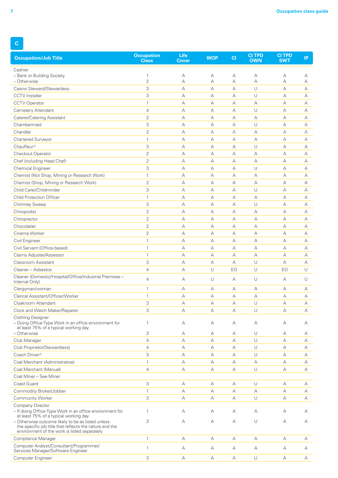| <b>Occupation/Job Title</b>                                                                                                                                  | <b>Occupation</b><br><b>Class</b> | Life<br><b>Cover</b> | <b>WOP</b> | CI | <b>CI TPD</b><br><b>OWN</b> | <b>CI TPD</b><br><b>SWT</b> | IP |
|--------------------------------------------------------------------------------------------------------------------------------------------------------------|-----------------------------------|----------------------|------------|----|-----------------------------|-----------------------------|----|
| Cashier                                                                                                                                                      |                                   |                      |            |    |                             |                             |    |
| - Bank or Building Society                                                                                                                                   | $\mathbf{1}$                      | А                    | А          | А  | А                           | А                           | А  |
| - Otherwise                                                                                                                                                  | $\overline{2}$                    | А                    | A          | А  | А                           | А                           | А  |
| Casino Steward/Stewardess                                                                                                                                    | 3                                 | А                    | А          | А  | $\cup$                      | А                           | А  |
| <b>CCTV</b> Installer                                                                                                                                        | 3                                 | А                    | А          | А  | U                           | А                           | А  |
| <b>CCTV Operator</b>                                                                                                                                         | $\mathbf{1}$                      | А                    | А          | А  | А                           | А                           | А  |
| Cemetery Attendant                                                                                                                                           | 4                                 | А                    | А          | А  | $\cup$                      | А                           | А  |
| Caterer/Catering Assistant                                                                                                                                   | $\overline{2}$                    | А                    | А          | А  | А                           | А                           | А  |
| Chambermaid                                                                                                                                                  | 3                                 | А                    | A          | A  | $\cup$                      | A                           | А  |
| Chandler                                                                                                                                                     | $\overline{2}$                    | А                    | А          | А  | А                           | А                           | А  |
| Chartered Surveyor                                                                                                                                           | $\mathbf{1}$                      | А                    | $\forall$  | А  | А                           | А                           | А  |
| Chauffeur^                                                                                                                                                   | 3                                 | А                    | A          | А  | $\cup$                      | А                           | А  |
| Checkout Operator                                                                                                                                            | $\overline{2}$                    | А                    | А          | А  | A                           | А                           | А  |
| Chef (including Head Chef)                                                                                                                                   | $\overline{2}$                    | А                    | А          | А  | А                           | А                           | А  |
| <b>Chemical Engineer</b>                                                                                                                                     | 3                                 | А                    | $\forall$  | А  | $\cup$                      | А                           | А  |
| Chemist (Not Shop, Mining or Research Work)                                                                                                                  | $\mathbf{1}$                      | А                    | А          | А  | А                           | А                           | А  |
| Chemist (Shop, Mining or Research Work)                                                                                                                      | $\overline{2}$                    | А                    | A          | A  | $\forall$                   | A                           | А  |
| Child Carer/Childminder                                                                                                                                      | 3                                 | А                    | А          | А  | U                           | А                           | А  |
| Child Protection Officer                                                                                                                                     | $\mathbf{1}$                      | А                    | $\forall$  | А  | А                           | А                           | А  |
| Chimney Sweep                                                                                                                                                | 3                                 | А                    | А          | А  | U                           | А                           | А  |
| Chiropodist                                                                                                                                                  | 2                                 | А                    | А          | А  | А                           | А                           | А  |
| Chiropractor                                                                                                                                                 | $\overline{2}$                    | А                    | А          | А  | А                           | А                           | А  |
| Chocolatier                                                                                                                                                  | $\overline{2}$                    | А                    | А          | А  | А                           | А                           | А  |
| Cinema Worker                                                                                                                                                | $\overline{2}$                    | А                    | А          | А  | А                           | А                           | А  |
| Civil Engineer                                                                                                                                               | $\mathbf{1}$                      | А                    | A          | А  | А                           | A                           | А  |
| Civil Servant (Office-based)                                                                                                                                 | $\mathbf{1}$                      | А                    | А          | А  | А                           | А                           | А  |
| Claims Adjuster/Assessor                                                                                                                                     | $\mathbf{1}$                      | А                    | $\forall$  | А  | А                           | А                           | А  |
| Classroom Assistant                                                                                                                                          | 3                                 | А                    | А          | А  | $\cup$                      | А                           | А  |
| Cleaner - Asbestos                                                                                                                                           | 4                                 | А                    | U          | EO | $\cup$                      | EO                          | U  |
| Cleaner (Domestic/Hospital/Office/Industrial Premises -<br>Internal Only)                                                                                    | 4                                 | А                    | $\cup$     | А  | $\cup$                      | А                           | U  |
| Clergyman/woman                                                                                                                                              | $\mathbf{1}$                      | А                    | А          | А  | А                           | А                           | А  |
| Clerical Assistant/Officer/Worker                                                                                                                            | $\mathbf{1}$                      | А                    | A          | А  | А                           | А                           | А  |
| Cloakroom Attendant                                                                                                                                          | 3                                 | А                    | А          | А  | U                           | А                           | А  |
| Clock and Watch Maker/Repairer                                                                                                                               | 3                                 | А                    | А          | А  | $\cup$                      | А                           | А  |
| <b>Clothing Designer</b><br>- Doing Office-Type Work in an office environment for<br>at least 75% of a typical working day                                   | 1                                 | А                    | А          | А  | А                           | А                           | А  |
| - Otherwise                                                                                                                                                  | 3                                 | А                    | А          | А  | U                           | А                           | А  |
| Club Manager                                                                                                                                                 | 4                                 | А                    | А          | А  | $\cup$                      | А                           | А  |
| Club Proprietor/Steward(ess)                                                                                                                                 | $\overline{4}$                    | А                    | А          | A  | $\cup$                      | А                           | А  |
| Coach Driver^                                                                                                                                                | 3                                 | А                    | А          | А  | $\cup$                      | А                           | А  |
| Coal Merchant (Administrative)                                                                                                                               | $\mathbf{1}$                      | А                    | А          | А  | А                           | А                           | А  |
| Coal Merchant (Manual)                                                                                                                                       | $\overline{4}$                    | А                    | А          | А  | $\cup$                      | А                           | А  |
| Coal Miner - See Miner                                                                                                                                       |                                   |                      |            |    |                             |                             |    |
| Coast Guard                                                                                                                                                  | 3                                 | А                    | А          | А  | $\cup$                      | А                           | А  |
| Commodity Broker/Jobber                                                                                                                                      | $\mathbf{1}$                      | А                    | А          | А  | А                           | А                           | А  |
| <b>Community Worker</b>                                                                                                                                      | 3                                 | А                    | A          | А  | U                           | А                           | А  |
| Company Director<br>- If doing Office-Type Work in an office environment for<br>at least 75% of a typical working day                                        | 1                                 | А                    | А          | А  | А                           | А                           | А  |
| - Otherwise outcome likely to be as listed unless<br>the specific job title that reflects the nature and the<br>environment of the work is listed separately | 3                                 | А                    | А          | А  | U                           | А                           | А  |
| Compliance Manager                                                                                                                                           | $\mathbf{1}$                      | А                    | А          | А  | А                           | А                           | А  |
| Computer Analyst/Consultant/Programmer/<br>Services Manager/Software Engineer                                                                                | $\mathbf{1}$                      | А                    | А          | А  | А                           | А                           | А  |
| Computer Engineer                                                                                                                                            | 3                                 | А                    | А          | А  | $\cup$                      | А                           | А  |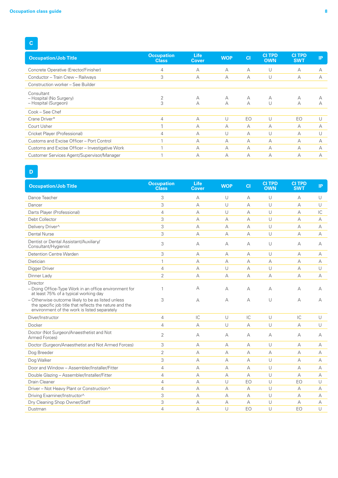### **C**

| <b>Occupation/Job Title</b>                                   | <b>Occupation</b><br><b>Class</b> | <b>Life</b><br><b>Cover</b> | <b>WOP</b> | C1        | <b>CI TPD</b><br><b>OWN</b> | <b>CI TPD</b><br><b>SWT</b> | <b>IP</b> |
|---------------------------------------------------------------|-----------------------------------|-----------------------------|------------|-----------|-----------------------------|-----------------------------|-----------|
| Concrete Operative (Erector/Finisher)                         | 4                                 | A                           | А          | $\forall$ | U                           | A                           | А         |
| Conductor - Train Crew - Railways                             | 3                                 | A                           | А          | A         | U                           | A                           | А         |
| Construction worker - See Builder                             |                                   |                             |            |           |                             |                             |           |
| Consultant<br>- Hospital (No Surgery)<br>- Hospital (Surgeon) | 3                                 | А<br>А                      | А<br>А     | A<br>А    | А<br>U                      | А<br>A                      | А         |
| Cook - See Chef                                               |                                   |                             |            |           |                             |                             |           |
| Crane Driver*                                                 | 4                                 | A                           | U          | EO        | U                           | EO                          |           |
| Court Usher                                                   |                                   | А                           | А          | А         | А                           | $\forall$                   | А         |
| Cricket Player (Professional)                                 | 4                                 | А                           | U          | А         | U                           | А                           |           |
| Customs and Excise Officer - Port Control                     |                                   | A                           | А          | А         | А                           | А                           | А         |
| Customs and Excise Officer - Investigative Work               |                                   | А                           | А          | А         | А                           | А                           | А         |
| Customer Services Agent/Supervisor/Manager                    |                                   | А                           | А          | А         | А                           | А                           | А         |

#### **D**

| <b>Occupation/Job Title</b>                                                                                                                                     | <b>Occupation</b><br><b>Class</b> | <b>Life</b><br><b>Cover</b> | <b>WOP</b> | CI             | <b>CI TPD</b><br><b>OWN</b> | <b>CITPD</b><br><b>SWT</b> | IP.            |
|-----------------------------------------------------------------------------------------------------------------------------------------------------------------|-----------------------------------|-----------------------------|------------|----------------|-----------------------------|----------------------------|----------------|
| Dance Teacher                                                                                                                                                   | 3                                 | А                           | U          | А              | U                           | А                          | $\cup$         |
| Dancer                                                                                                                                                          | 3                                 | А                           | U          | A              | $\cup$                      | A                          | $\cup$         |
| Darts Player (Professional)                                                                                                                                     | $\overline{4}$                    | A                           | U          | A              | $\cup$                      | А                          | IC             |
| Debt Collector                                                                                                                                                  | 3                                 | А                           | $\forall$  | А              | U                           | А                          | $\overline{A}$ |
| Delivery Driver^                                                                                                                                                | 3                                 | А                           | А          | А              | U                           | А                          | A              |
| Dental Nurse                                                                                                                                                    | 3                                 | А                           | А          | A              | U                           | A                          | A              |
| Dentist or Dental Assistant/Auxiliary/<br>Consultant/Hygienist                                                                                                  | 3                                 | А                           | А          | А              | $\cup$                      | А                          | А              |
| <b>Detention Centre Warden</b>                                                                                                                                  | 3                                 | А                           | А          | A              | U                           | A                          | A              |
| Dietician                                                                                                                                                       | $\mathbf{1}$                      | А                           | А          | A              | A                           | А                          | A              |
| Digger Driver                                                                                                                                                   | $\overline{4}$                    | А                           | U          | A              | U                           | A                          | $\cup$         |
| Dinner Lady                                                                                                                                                     | $\overline{2}$                    | А                           | А          | A              | A                           | A                          | A              |
| Director<br>- Doing Office-Type Work in an office environment for<br>at least 75% of a typical working day<br>- Otherwise outcome likely to be as listed unless | 1<br>3                            | А<br>А                      | А<br>А     | А<br>А         | А<br>U                      | А<br>А                     | А<br>А         |
| the specific job title that reflects the nature and the<br>environment of the work is listed separately                                                         |                                   |                             |            |                |                             |                            |                |
| Diver/Instructor                                                                                                                                                | $\overline{4}$                    | C                           | U          | IC             | $\cup$                      | C                          | $\cup$         |
| Docker                                                                                                                                                          | $\overline{4}$                    | А                           | U          | $\overline{A}$ | U                           | A                          | $\cup$         |
| Doctor (Not Surgeon/Anaesthetist and Not<br>Armed Forces)                                                                                                       | $\overline{2}$                    | A                           | A          | А              | А                           | А                          | А              |
| Doctor (Surgeon/Anaesthetist and Not Armed Forces)                                                                                                              | 3                                 | A                           | A          | A              | $\cup$                      | А                          | A              |
| Dog Breeder                                                                                                                                                     | $\overline{2}$                    | А                           | А          | A              | A                           | А                          | A              |
| Dog Walker                                                                                                                                                      | 3                                 | А                           | $\forall$  | A              | U                           | А                          | A              |
| Door and Window - Assembler/Installer/Fitter                                                                                                                    | $\overline{4}$                    | А                           | A          | A              | $\cup$                      | А                          | A              |
| Double Glazing - Assembler/Installer/Fitter                                                                                                                     | $\overline{4}$                    | А                           | А          | $\overline{A}$ | $\cup$                      | A                          | A              |
| Drain Cleaner                                                                                                                                                   | 4                                 | A                           | U          | EO             | U                           | EO                         | $\cup$         |
| Driver - Not Heavy Plant or Construction^                                                                                                                       | $\overline{4}$                    | А                           | $\forall$  | A              | U                           | A                          | A              |
| Driving Examiner/Instructor^                                                                                                                                    | 3                                 | А                           | А          | $\overline{A}$ | $\cup$                      | A                          | $\overline{A}$ |
| Dry Cleaning Shop Owner/Staff                                                                                                                                   | 3                                 | A                           | А          | $\overline{A}$ | $\cup$                      | A                          | $\overline{A}$ |
| Dustman                                                                                                                                                         | $\overline{4}$                    | A                           | U          | EO             | U                           | EO                         | $\cup$         |
|                                                                                                                                                                 |                                   |                             |            |                |                             |                            |                |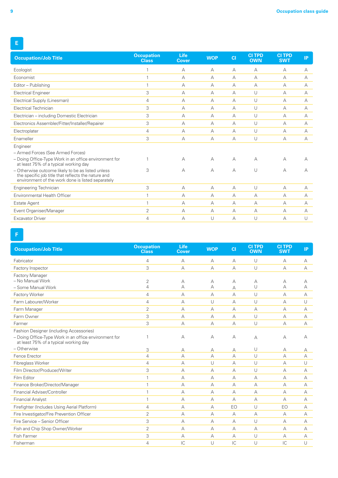| <b>Occupation/Job Title</b>                                                                                                                                   | <b>Occupation</b><br><b>Class</b> | <b>Life</b><br><b>Cover</b> | <b>WOP</b>     | CI | <b>CITPD</b><br><b>OWN</b> | <b>CITPD</b><br><b>SWT</b> | IP        |
|---------------------------------------------------------------------------------------------------------------------------------------------------------------|-----------------------------------|-----------------------------|----------------|----|----------------------------|----------------------------|-----------|
| Ecologist                                                                                                                                                     |                                   | А                           | А              | А  | А                          | A                          | А         |
| Economist                                                                                                                                                     |                                   | А                           | A              | А  | $\overline{A}$             | A                          | А         |
| Editor - Publishing                                                                                                                                           |                                   | А                           | $\forall$      | А  | $\overline{A}$             | A                          | А         |
| <b>Electrical Engineer</b>                                                                                                                                    | 3                                 | А                           | A              | A  | U                          | A                          | А         |
| Electrical Supply (Linesman)                                                                                                                                  | 4                                 | А                           | A              | А  | U                          | А                          | A         |
| <b>Electrical Technician</b>                                                                                                                                  | 3                                 | А                           | A              | А  | U                          | A                          | А         |
| Electrician - including Domestic Electrician                                                                                                                  | 3                                 | А                           | А              | А  | U                          | А                          | А         |
| Electronics Assembler/Fitter/Installer/Repairer                                                                                                               | 3                                 | А                           | A              | А  | U                          | A                          | А         |
| Electroplater                                                                                                                                                 | 4                                 | А                           | A              | А  | U                          | А                          | $\forall$ |
| Enameller                                                                                                                                                     | 3                                 | А                           | $\forall$      | А  | U                          | A                          | A         |
| Engineer                                                                                                                                                      |                                   |                             |                |    |                            |                            |           |
| - Armed Forces (See Armed Forces)                                                                                                                             |                                   |                             |                |    |                            |                            |           |
| - Doing Office-Type Work in an office environment for<br>at least 75% of a typical working day                                                                |                                   | А                           | $\forall$      | A  | А                          | А                          | А         |
| - Otherwise outcome likely to be as listed unless<br>the specific job title that reflects the nature and<br>environment of the work done is listed separately | 3                                 | А                           | A              | А  | U                          | А                          | А         |
| Engineering Technician                                                                                                                                        | 3                                 | $\forall$                   | $\overline{A}$ | A  | U                          | A                          | $\forall$ |
| Environmental Health Officer                                                                                                                                  |                                   | А                           | A              | A  | A                          | A                          | А         |
| <b>Estate Agent</b>                                                                                                                                           |                                   | А                           | $\forall$      | А  | $\forall$                  | А                          | А         |
| Event Organiser/Manager                                                                                                                                       | $\overline{2}$                    | А                           | А              | А  | A                          | А                          | А         |
| <b>Excavator Driver</b>                                                                                                                                       | 4                                 | А                           | U              | А  | U                          | А                          | U         |

**F**

| <b>Occupation/Job Title</b>                                                                    | <b>Occupation</b><br><b>Class</b> | <b>Life</b><br><b>Cover</b> | <b>WOP</b> | CI | <b>CI TPD</b><br><b>OWN</b> | <b>CI TPD</b><br><b>SWT</b> | IP.       |
|------------------------------------------------------------------------------------------------|-----------------------------------|-----------------------------|------------|----|-----------------------------|-----------------------------|-----------|
| Fabricator                                                                                     | 4                                 | А                           | A          | А  | $\cup$                      | А                           | A         |
| Factory Inspector                                                                              | 3                                 | $\overline{A}$              | $\forall$  | А  | U                           | A                           | $\forall$ |
| <b>Factory Manager</b>                                                                         |                                   |                             |            |    |                             |                             |           |
| - No Manual Work                                                                               | $\overline{2}$                    | A                           | А          | А  | A                           | А                           | А         |
| - Some Manual Work                                                                             | 4                                 | А                           | А          | А  | U                           | А                           | А         |
| Factory Worker                                                                                 | $\overline{4}$                    | А                           | $\forall$  | А  | U                           | A                           | $\forall$ |
| Farm Labourer/Worker                                                                           | $\overline{4}$                    | А                           | $\cup$     | А  | U                           | А                           | U         |
| Farm Manager                                                                                   | $\overline{2}$                    | $\forall$                   | $\forall$  | А  | $\overline{A}$              | А                           | A         |
| Farm Owner                                                                                     | 3                                 | А                           | $\forall$  | А  | U                           | А                           | A         |
| Farmer                                                                                         | 3                                 | $\forall$                   | $\forall$  | A  | $\cup$                      | A                           | A         |
| Fashion Designer (including Accessories)                                                       |                                   |                             |            |    |                             |                             |           |
| - Doing Office-Type Work in an office environment for<br>at least 75% of a typical working day | 1                                 | А                           | А          | А  | А                           | А                           | А         |
| - Otherwise                                                                                    | 3                                 | А                           | А          | А  | U                           | А                           | А         |
| Fence Erector                                                                                  | $\overline{4}$                    | $\forall$                   | $\forall$  | А  | U                           | A                           | $\forall$ |
| Fibreglass Worker                                                                              | $\overline{4}$                    | $\overline{A}$              | $\cup$     | А  | U                           | A                           | U         |
| Film Director/Producer/Writer                                                                  | 3                                 | $\forall$                   | A          | А  | U                           | A                           | $\forall$ |
| Film Editor                                                                                    | $\mathbf{1}$                      | A                           | A          | A  | A                           | A                           | $\forall$ |
| Finance Broker/Director/Manager                                                                | $\mathbf{1}$                      | $\forall$                   | A          | А  | A                           | A                           | А         |
| Financial Adviser/Controller                                                                   | $\mathbf{1}$                      | A                           | A          | A  | A                           | A                           | A         |
| <b>Financial Analyst</b>                                                                       | $\mathbf{1}$                      | $\overline{A}$              | A          | A  | А                           | А                           | $\forall$ |
| Firefighter (Includes Using Aerial Platform)                                                   | $\overline{4}$                    | $\forall$                   | $\forall$  | EO | $\cup$                      | EO                          | A         |
| Fire Investigator/Fire Prevention Officer                                                      | $\overline{2}$                    | $\forall$                   | A          | A  | $\overline{A}$              | А                           | A         |
| Fire Service - Senior Officer                                                                  | 3                                 | $\forall$                   | $\forall$  | A  | $\cup$                      | A                           | $\forall$ |
| Fish and Chip Shop Owner/Worker                                                                | $\overline{2}$                    | А                           | A          | А  | $\overline{A}$              | А                           | А         |
| <b>Fish Farmer</b>                                                                             | 3                                 | A                           | A          | А  | $\cup$                      | A                           | A         |
| Fisherman                                                                                      | $\overline{4}$                    | IC                          | $\cup$     | IC | $\cup$                      | IC                          | $\cup$    |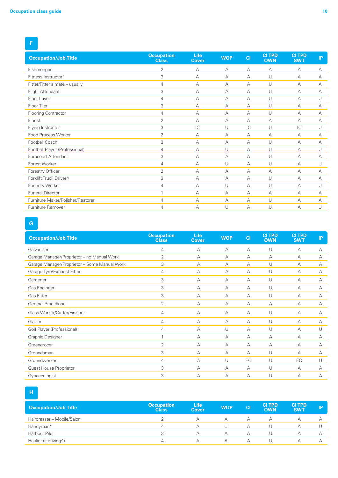| <b>Occupation/Job Title</b>       | <b>Occupation</b><br><b>Class</b> | <b>Life</b><br><b>Cover</b> | <b>WOP</b> | CI | <b>CI TPD</b><br><b>OWN</b> | <b>CI TPD</b><br><b>SWT</b> | IP        |
|-----------------------------------|-----------------------------------|-----------------------------|------------|----|-----------------------------|-----------------------------|-----------|
| Fishmonger                        | 2                                 | А                           | А          | А  | $\overline{A}$              | A                           | A         |
| Fitness Instructor <sup>†</sup>   | 3                                 | А                           | А          | А  | U                           | A                           | А         |
| Fitter/Fitter's mate - usually    | $\overline{4}$                    | А                           | А          | А  | U                           | A                           | А         |
| Flight Attendant                  | 3                                 | $\forall$                   | $\forall$  | А  | U                           | A                           | А         |
| Floor Layer                       | $\overline{4}$                    | А                           | А          | A  | U                           | A                           | U         |
| Floor Tiler                       | 3                                 | А                           | A          | А  | U                           | A                           | $\forall$ |
| Flooring Contractor               | $\overline{4}$                    | A                           | А          | A  | U                           | A                           | А         |
| Florist                           | $\overline{2}$                    | A                           | А          | А  | A                           | A                           | $\forall$ |
| Flying Instructor                 | 3                                 | IC                          | $\cup$     | IC | U                           | IC                          | U         |
| Food Process Worker               | $\overline{2}$                    | А                           | А          | А  | A                           | A                           | А         |
| Football Coach                    | 3                                 | A                           | A          | A  | U                           | A                           | A         |
| Football Player (Professional)    | $\overline{4}$                    | А                           | U          | A  | U                           | A                           | U         |
| Forecourt Attendant               | 3                                 | A                           | A          | A  | $\cup$                      | $\forall$                   | $\forall$ |
| Forest Worker                     | 4                                 | A                           | U          | A  | U                           | A                           | $\cup$    |
| Forestry Officer                  | $\overline{2}$                    | А                           | А          | А  | $\overline{A}$              | A                           | A         |
| Forklift Truck Driver^            | 3                                 | А                           | A          | A  | U                           | A                           | A         |
| Foundry Worker                    | $\overline{4}$                    | A                           | U          | А  | U                           | A                           | $\cup$    |
| <b>Funeral Director</b>           | $\overline{ }$                    | A                           | А          | А  | $\forall$                   | A                           | A         |
| Furniture Maker/Polisher/Restorer | 4                                 | A                           | A          | А  | U                           | A                           | А         |
| Furniture Remover                 | 4                                 | А                           | U          | А  | U                           | A                           | U         |

# **G**

| <b>Occupation/Job Title</b>                  | <b>Occupation</b><br><b>Class</b> | <b>Life</b><br><b>Cover</b> | <b>WOP</b> | CI | <b>CI TPD</b><br><b>OWN</b> | <b>CITPD</b><br><b>SWT</b> | IP |
|----------------------------------------------|-----------------------------------|-----------------------------|------------|----|-----------------------------|----------------------------|----|
| Galvaniser                                   | 4                                 | A                           | A          | А  | U                           | А                          | А  |
| Garage Manager/Proprietor - no Manual Work   | 2                                 | $\forall$                   | A          | A  | А                           | А                          | А  |
| Garage Manager/Proprietor - Some Manual Work | 3                                 | A                           | A          | A  | U                           | А                          | А  |
| Garage Tyre/Exhaust Fitter                   | 4                                 | $\forall$                   | A          | А  | U                           | А                          | А  |
| Gardener                                     | 3                                 | $\forall$                   | A          | A  | U                           | А                          | А  |
| Gas Engineer                                 | 3                                 | A                           | $\forall$  | A  | U                           | А                          | А  |
| Gas Fitter                                   | 3                                 | A                           | A          | A  | U                           | A                          | А  |
| <b>General Practitioner</b>                  | 2                                 | A                           | $\forall$  | А  | А                           | А                          | А  |
| Glass Worker/Cutter/Finisher                 | 4                                 | $\forall$                   | $\forall$  | А  | U                           | А                          | А  |
| Glazier                                      | $\overline{4}$                    | $\forall$                   | A          | A  | U                           | A                          | А  |
| Golf Player (Professional)                   | $\overline{4}$                    | $\forall$                   | $\cup$     | A  | U                           | A                          | U  |
| Graphic Designer                             | $\overline{ }$                    | $\forall$                   | A          | А  | А                           | А                          | А  |
| Greengrocer                                  | 2                                 | $\forall$                   | A          | A  | А                           | А                          | А  |
| Groundsman                                   | 3                                 | $\forall$                   | A          | A  | U                           | А                          | А  |
| Groundworker                                 | 4                                 | $\forall$                   | U          | EO | U                           | EO                         | U  |
| Guest House Proprietor                       | 3                                 | A                           | A          | A  | U                           | А                          | А  |
| Gynaecologist                                | 3                                 | A                           | A          | А  | U                           | А                          | А  |

### **H**

| <b>Occupation/Job Title</b> | <b>Occupation</b><br><b>Class</b> | <b>Life</b><br>Cover | <b>WOP</b> | <b>CI</b> | <b>CI TPD</b><br><b>OWN</b> | <b>CITPD</b><br><b>SWT</b> | D |
|-----------------------------|-----------------------------------|----------------------|------------|-----------|-----------------------------|----------------------------|---|
| Hairdresser - Mobile/Salon  |                                   |                      | А          |           |                             |                            |   |
| Handyman*                   |                                   |                      |            |           |                             |                            |   |
| Harbour Pilot               |                                   |                      |            |           |                             |                            |   |
| Haulier (if driving^)       |                                   |                      | А          |           |                             |                            |   |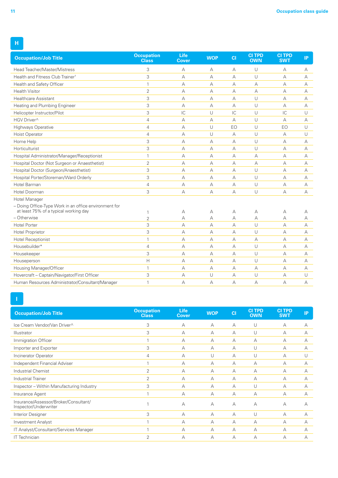| <b>Occupation/Job Title</b>                                                   | <b>Occupation</b><br><b>Class</b> | Life<br><b>Cover</b> | <b>WOP</b> | CI        | <b>CITPD</b><br><b>OWN</b> | <b>CI TPD</b><br><b>SWT</b> | IP |
|-------------------------------------------------------------------------------|-----------------------------------|----------------------|------------|-----------|----------------------------|-----------------------------|----|
| Head Teacher/Master/Mistress                                                  | 3                                 | А                    | А          | А         | U                          | А                           | А  |
| Health and Fitness Club Trainer <sup>+</sup>                                  | 3                                 | А                    | А          | А         | U                          | $\forall$                   | A  |
| Health and Safety Officer                                                     | $\mathbf{1}$                      | A                    | A          | $\forall$ | A                          | A                           | А  |
| <b>Health Visitor</b>                                                         | $\overline{2}$                    | А                    | А          | A         | А                          | $\overline{A}$              | А  |
| <b>Healthcare Assistant</b>                                                   | 3                                 | А                    | А          | А         | U                          | А                           | A  |
| Heating and Plumbing Engineer                                                 | 3                                 | A                    | A          | $\forall$ | U                          | A                           | A  |
| Helicopter Instructor/Pilot                                                   | 3                                 | IC                   | U          | IC        | U                          | IC                          | U  |
| HGV Driver^                                                                   | $\overline{4}$                    | А                    | А          | A         | U                          | $\forall$                   | А  |
| <b>Highways Operative</b>                                                     | $\overline{4}$                    | $\overline{A}$       | U          | EO        | U                          | EO                          | U  |
| Hoist Operator                                                                | $\overline{4}$                    | А                    | U          | A         | U                          | $\forall$                   | U  |
| Home Help                                                                     | 3                                 | А                    | A          | A         | U                          | $\overline{A}$              | А  |
| Horticulturist                                                                | 3                                 | $\overline{A}$       | A          | A         | U                          | A                           | А  |
| Hospital Administrator/Manager/Receptionist                                   | $\mathbf{1}$                      | A                    | A          | $\forall$ | A                          | $\overline{A}$              | A  |
| Hospital Doctor (Not Surgeon or Anaesthetist)                                 | $\overline{2}$                    | А                    | А          | A         | A                          | A                           | А  |
| Hospital Doctor (Surgeon/Anaesthetist)                                        | 3                                 | А                    | А          | А         | U                          | $\forall$                   | А  |
| Hospital Porter/Storeman/Ward Orderly                                         | 3                                 | $\overline{A}$       | A          | A         | U                          | $\overline{A}$              | A  |
| Hotel Barman                                                                  | $\overline{4}$                    | А                    | А          | А         | U                          | А                           | А  |
| Hotel Doorman                                                                 | 3                                 | $\overline{A}$       | A          | A         | U                          | A                           | А  |
| <b>Hotel Manager</b><br>- Doing Office-Type Work in an office environment for |                                   |                      |            |           |                            |                             |    |
| at least 75% of a typical working day                                         |                                   | А                    | А          | А         | А                          | А                           | А  |
| - Otherwise                                                                   | $\overline{2}$                    | А                    | А          | А         | А                          | А                           | А  |
| <b>Hotel Porter</b>                                                           | 3                                 | А                    | А          | $\forall$ | U                          | А                           | А  |
| <b>Hotel Proprietor</b>                                                       | 3                                 | А                    | А          | A         | U                          | A                           | A  |
| <b>Hotel Receptionist</b>                                                     | $\mathbf{1}$                      | $\overline{A}$       | A          | A         | A                          | $\overline{A}$              | A  |
| Housebuilder*                                                                 | $\overline{4}$                    | А                    | А          | A         | U                          | $\overline{A}$              | А  |
| Housekeeper                                                                   | 3                                 | А                    | А          | А         | U                          | $\overline{A}$              | A  |
| Houseperson                                                                   | Н                                 | $\overline{A}$       | A          | A         | U                          | $\overline{A}$              | A  |
| Housing Manager/Officer                                                       | $\mathbf{1}$                      | A                    | A          | $\forall$ | А                          | $\overline{A}$              | А  |
| Hovercraft - Captain/Navigator/First Officer                                  | 3                                 | А                    | U          | А         | U                          | А                           | U  |
| Human Resources Administrator/Consultant/Manager                              | 1                                 | $\overline{A}$       | A          | A         | $\overline{A}$             | $\overline{A}$              | А  |

**I**

| <b>Occupation/Job Title</b>                                    | <b>Occupation</b><br><b>Class</b> | <b>Life</b><br>Cover | <b>WOP</b> | C1 | <b>CITPD</b><br><b>OWN</b> | <b>CITPD</b><br><b>SWT</b> | IP |
|----------------------------------------------------------------|-----------------------------------|----------------------|------------|----|----------------------------|----------------------------|----|
| Ice Cream Vendor/Van Driver^                                   | 3                                 | A                    | A          | А  | U                          | A                          | А  |
| <b>Illustrator</b>                                             | 3                                 | А                    | A          | А  | U                          | A                          | A  |
| Immigration Officer                                            |                                   | А                    | A          | А  | А                          | A                          | А  |
| Importer and Exporter                                          | 3                                 | А                    | A          | А  | U                          | А                          | А  |
| Incinerator Operator                                           | $\overline{4}$                    | А                    | U          | А  | U                          | A                          | U  |
| Independent Financial Adviser                                  |                                   | А                    | A          | А  | А                          | А                          | А  |
| <b>Industrial Chemist</b>                                      | 2                                 | А                    | A          | А  | А                          | А                          | А  |
| <b>Industrial Trainer</b>                                      | 2                                 | А                    | A          | А  | А                          | A                          | A  |
| Inspector - Within Manufacturing Industry                      | 3                                 | А                    | A          | А  | U                          | А                          | А  |
| Insurance Agent                                                |                                   | А                    | A          | А  | А                          | А                          | А  |
| Insurance/Assessor/Broker/Consultant/<br>Inspector/Underwriter |                                   | А                    | $\forall$  | А  | A                          | А                          | А  |
| Interior Designer                                              | 3                                 | А                    | A          | А  | U                          | А                          | А  |
| <b>Investment Analyst</b>                                      |                                   | А                    | A          | А  | А                          | А                          | А  |
| IT Analyst/Consultant/Services Manager                         |                                   | А                    | A          | А  | А                          | A                          | А  |
| IT Technician                                                  | $\overline{2}$                    | А                    | А          | А  | А                          | А                          | А  |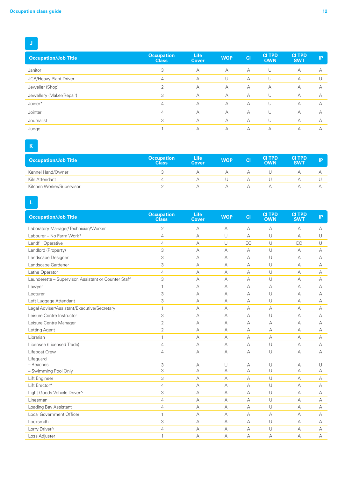| <b>Occupation/Job Title</b> | <b>Occupation</b><br><b>Class</b> | <b>Life</b><br><b>Cover</b> | <b>WOP</b> | <b>CI</b> | <b>CITPD</b><br><b>OWN</b> | <b>CITPD</b><br><b>SWT</b> | IP |
|-----------------------------|-----------------------------------|-----------------------------|------------|-----------|----------------------------|----------------------------|----|
| Janitor                     | 3                                 | A                           | $\forall$  | A         | U                          | А                          | A  |
| JCB/Heavy Plant Driver      | 4                                 | А                           | U          | A         | U                          | A                          |    |
| Jeweller (Shop)             | C                                 | А                           | А          | A         | $\forall$                  | A                          | А  |
| Jewellery (Maker/Repair)    | 3                                 | А                           | А          | A         | U                          | A                          | А  |
| Joiner*                     | 4                                 | А                           | А          | A         | U                          | A                          | А  |
| Jointer                     | $\overline{4}$                    | A                           | А          | A         | U                          | A                          | А  |
| Journalist                  | 3                                 | A                           | А          | A         | U                          | А                          | А  |
| Judge                       |                                   | А                           | А          | A         | А                          | A                          | А  |

# **K**

| <b>Occupation/Job Title</b> | <b>Occupation</b><br><b>Class</b> | Life<br><b>Cover</b> | <b>WOP</b> | <b>CI</b> | <b>CITPD</b><br><b>OWN</b> | <b>CI TPD</b><br><b>SWT</b> | IP |
|-----------------------------|-----------------------------------|----------------------|------------|-----------|----------------------------|-----------------------------|----|
| Kennel Hand/Owner           |                                   |                      |            | $\forall$ |                            |                             |    |
| Kiln Attendant              |                                   |                      |            | $\Delta$  |                            |                             |    |
| Kitchen Worker/Supervisor   |                                   |                      |            |           |                            |                             |    |

# **L**

| <b>Occupation/Job Title</b>                          | <b>Occupation</b><br><b>Class</b> | <b>Life</b><br>Cover | <b>WOP</b> | CI | <b>CITPD</b><br><b>OWN</b> | <b>CI TPD</b><br><b>SWT</b> | IP |
|------------------------------------------------------|-----------------------------------|----------------------|------------|----|----------------------------|-----------------------------|----|
| Laboratory Manager/Technician/Worker                 | 2                                 | A                    | $\forall$  | А  | А                          | А                           | А  |
| Labourer - No Farm Work*                             | $\overline{4}$                    | A                    | $\cup$     | A  | $\cup$                     | A                           | U  |
| Landfill Operative                                   | 4                                 | A                    | U          | EO | $\cup$                     | EO                          | U  |
| Landlord (Property)                                  | 3                                 | A                    | A          | А  | $\cup$                     | А                           | A  |
| Landscape Designer                                   | 3                                 | $\forall$            | A          | А  | $\cup$                     | A                           | А  |
| Landscape Gardener                                   | 3                                 | А                    | А          | A  | $\cup$                     | А                           | А  |
| Lathe Operator                                       | $\overline{4}$                    | A                    | A          | А  | $\cup$                     | A                           | А  |
| Launderette - Supervisor, Assistant or Counter Staff | 3                                 | A                    | $\forall$  | A  | U                          | A                           | А  |
| Lawyer                                               | $\mathbf{1}$                      | $\forall$            | $\forall$  | A  | $\forall$                  | A                           | A  |
| Lecturer                                             | 3                                 | А                    | A          | А  | U                          | А                           | А  |
| Left Luggage Attendant                               | 3                                 | А                    | A          | A  | U                          | А                           | А  |
| Legal Adviser/Assistant/Executive/Secretary          | $\mathbf{1}$                      | А                    | A          | А  | А                          | A                           | А  |
| Leisure Centre Instructor                            | 3                                 | А                    | A          | A  | U                          | A                           | А  |
| Leisure Centre Manager                               | $\overline{2}$                    | A                    | $\forall$  | A  | $\forall$                  | A                           | А  |
| Letting Agent                                        | $\overline{2}$                    | $\forall$            | A          | А  | $\forall$                  | A                           | A  |
| Librarian                                            | $\mathbf{1}$                      | $\forall$            | $\forall$  | A  | $\forall$                  | A                           | А  |
| Licensee (Licensed Trade)                            | $\overline{4}$                    | А                    | А          | А  | $\cup$                     | А                           | А  |
| Lifeboat Crew                                        | 4                                 | А                    | $\forall$  | А  | $\cup$                     | A                           | A  |
| Lifeguard                                            |                                   |                      |            |    |                            |                             |    |
| - Beaches                                            | 3                                 | А                    | U          | А  | U                          | А                           | U  |
| - Swimming Pool Only                                 | 3                                 | A                    | А          | A  | U                          | A                           | А  |
| Lift Engineer                                        | 3                                 | А                    | А          | А  | $\cup$                     | А                           | А  |
| Lift Erector*                                        | 4                                 | А                    | A          | А  | U                          | А                           | А  |
| Light Goods Vehicle Driver^                          | 3                                 | А                    | A          | A  | $\cup$                     | A                           | A  |
| Linesman                                             | $\overline{4}$                    | А                    | A          | A  | $\cup$                     | A                           | А  |
| Loading Bay Assistant                                | $\overline{4}$                    | A                    | A          | A  | U                          | A                           | А  |
| <b>Local Government Officer</b>                      | $\mathbf{1}$                      | A                    | $\forall$  | A  | $\overline{A}$             | A                           | А  |
| Locksmith                                            | 3                                 | А                    | А          | А  | $\cup$                     | А                           | А  |
| Lorry Driver^                                        | 4                                 | $\forall$            | $\forall$  | A  | U                          | A                           | А  |
| Loss Adjuster                                        | 1                                 | А                    | А          | A  | A                          | A                           | A  |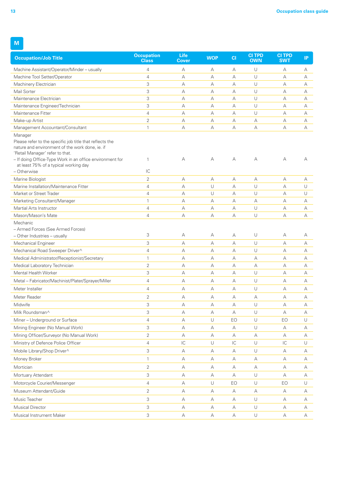**M**

| <b>Occupation/Job Title</b>                                                                                                                                                                                                                         | <b>Occupation</b><br><b>Class</b> | <b>Life</b><br><b>Cover</b> | <b>WOP</b> | CI            | <b>CI TPD</b><br><b>OWN</b> | <b>CI TPD</b><br><b>SWT</b> | IP     |
|-----------------------------------------------------------------------------------------------------------------------------------------------------------------------------------------------------------------------------------------------------|-----------------------------------|-----------------------------|------------|---------------|-----------------------------|-----------------------------|--------|
| Machine Assistant/Operator/Minder - usually                                                                                                                                                                                                         | 4                                 | А                           | А          | А             | U                           | А                           | А      |
| Machine Tool Setter/Operator                                                                                                                                                                                                                        | $\overline{4}$                    | А                           | А          | A             | U                           | А                           | А      |
| Machinery Electrician                                                                                                                                                                                                                               | 3                                 | А                           | А          | А             | U                           | А                           | А      |
| Mail Sorter                                                                                                                                                                                                                                         | 3                                 | А                           | А          | А             | U                           | A                           | А      |
| Maintenance Electrician                                                                                                                                                                                                                             | 3                                 | А                           | А          | A             | U                           | А                           | А      |
| Maintenance Engineer/Technician                                                                                                                                                                                                                     | 3                                 | А                           | А          | А             | U                           | А                           | А      |
| Maintenance Fitter                                                                                                                                                                                                                                  | 4                                 | А                           | А          | А             | U                           | А                           | А      |
| Make-up Artist                                                                                                                                                                                                                                      | $\overline{2}$                    | $\forall$                   | А          | A             | А                           | $\forall$                   | А      |
| Management Accountant/Consultant                                                                                                                                                                                                                    | $\mathbf{1}$                      | А                           | А          | А             | А                           | А                           | А      |
| Manager                                                                                                                                                                                                                                             |                                   |                             |            |               |                             |                             |        |
| Please refer to the specific job title that reflects the<br>nature and environment of the work done, ie. if<br>'Retail Manager' refer to that.<br>- If doing Office-Type Work in an office environment for<br>at least 75% of a typical working day | 1                                 | А                           | А          | А             | А                           | А                           | А      |
| - Otherwise                                                                                                                                                                                                                                         | IC                                |                             |            |               |                             |                             |        |
| Marine Biologist                                                                                                                                                                                                                                    | $\overline{2}$                    | А                           | А          | А             | А                           | А                           | А      |
| Marine Installation/Maintenance Fitter                                                                                                                                                                                                              | $\overline{4}$                    | А                           | U          | А             | U                           | A                           | $\cup$ |
| Market or Street Trader                                                                                                                                                                                                                             | 4                                 | А                           | U          | А             | U                           | A                           | U      |
| Marketing Consultant/Manager                                                                                                                                                                                                                        | $\mathbf{1}$                      | А                           | А          | А             | А                           | А                           | А      |
| Martial Arts Instructor                                                                                                                                                                                                                             | $\overline{4}$                    | А                           | А          | А             | U                           | А                           | А      |
| Mason/Mason's Mate                                                                                                                                                                                                                                  | 4                                 | А                           | А          | А             | U                           | А                           | А      |
| Mechanic<br>- Armed Forces (See Armed Forces)<br>- Other Industries - usually                                                                                                                                                                       | 3                                 | А                           | А          | А             | U                           | А                           | А      |
| Mechanical Engineer                                                                                                                                                                                                                                 | 3                                 | А                           | А          | А             | U                           | А                           | А      |
| Mechanical Road Sweeper Driver^                                                                                                                                                                                                                     | $\overline{4}$                    | $\forall$                   | А          | А             | U                           | А                           | А      |
| Medical Administrator/Receptionist/Secretary                                                                                                                                                                                                        | $\mathbf{1}$                      | А                           | А          | А             | А                           | А                           | A      |
| Medical Laboratory Technician                                                                                                                                                                                                                       | 2                                 | А                           | А          | А             | А                           | А                           | А      |
| Mental Health Worker                                                                                                                                                                                                                                | 3                                 | А                           | А          | А             | U                           | А                           | А      |
| Metal - Fabricator/Machinist/Plater/Sprayer/Miller                                                                                                                                                                                                  | $\overline{4}$                    | А                           | А          | A             | U                           | А                           | А      |
| Meter Installer                                                                                                                                                                                                                                     | $\overline{4}$                    | А                           | А          | А             | U                           | А                           | A      |
|                                                                                                                                                                                                                                                     | 2                                 |                             |            |               |                             | А                           |        |
| Meter Reader                                                                                                                                                                                                                                        |                                   | А                           | А          | А             | А                           |                             | А      |
| Midwife                                                                                                                                                                                                                                             | 3                                 | А                           | А          | А             | U                           | А                           | А      |
| Milk Roundsman^                                                                                                                                                                                                                                     | 3                                 | А                           | А          | А             | U                           | А                           | А      |
| Miner - Underground or Surface                                                                                                                                                                                                                      | 4                                 | А                           | $\cup$     | EO            | $\cup$                      | EO                          | $\cup$ |
| Mining Engineer (No Manual Work)                                                                                                                                                                                                                    | 3                                 | А                           | А          | А             | $\cup$                      | А                           | А      |
| Mining Officer/Surveyor (No Manual Work)                                                                                                                                                                                                            | $\overline{2}$                    | А                           | А          | А             | А                           | А                           | А      |
| Ministry of Defence Police Officer                                                                                                                                                                                                                  | $\overline{4}$                    | $\mathsf{IC}$               | U          | $\mathsf{IC}$ | U                           | $\mathsf{IC}$               | U      |
| Mobile Library/Shop Driver^                                                                                                                                                                                                                         | 3                                 | А                           | А          | А             | $\cup$                      | А                           | А      |
| Money Broker                                                                                                                                                                                                                                        | 1                                 | $\forall$                   | А          | А             | А                           | $\forall$                   | А      |
| Mortician                                                                                                                                                                                                                                           | 2                                 | А                           | А          | А             | А                           | А                           | А      |
| Mortuary Attendant                                                                                                                                                                                                                                  | 3                                 | А                           | А          | А             | U                           | А                           | А      |
| Motorcycle Courier/Messenger                                                                                                                                                                                                                        | $\overline{4}$                    | А                           | $\cup$     | EO            | $\cup$                      | EO                          | $\cup$ |
| Museum Attendant/Guide                                                                                                                                                                                                                              | $\overline{2}$                    | А                           | А          | А             | А                           | А                           | А      |
| Music Teacher                                                                                                                                                                                                                                       | 3                                 | А                           | А          | А             | $\cup$                      | А                           | А      |
| <b>Musical Director</b>                                                                                                                                                                                                                             | 3                                 | А                           | А          | А             | $\cup$                      | А                           | А      |
| Musical Instrument Maker                                                                                                                                                                                                                            | 3                                 | А                           | А          | А             | $\cup$                      | А                           | А      |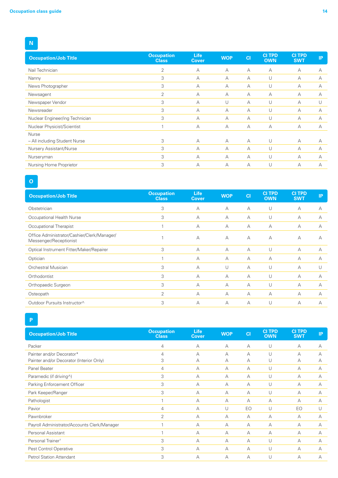**N**

| <b>Occupation/Job Title</b>     | <b>Occupation</b><br><b>Class</b> | <b>Life</b><br>Cover | <b>WOP</b> | C1 | <b>CITPD</b><br><b>OWN</b> | <b>CITPD</b><br><b>SWT</b> | <b>IP</b> |
|---------------------------------|-----------------------------------|----------------------|------------|----|----------------------------|----------------------------|-----------|
| Nail Technician                 | $\overline{2}$                    | A                    | $\forall$  | А  | А                          | А                          | А         |
| Nanny                           | 3                                 | А                    | $\forall$  | А  | U                          | А                          | А         |
| News Photographer               | 3                                 | A                    | $\forall$  | А  | U                          | А                          | А         |
| Newsagent                       | 2                                 | А                    | $\forall$  | А  | A                          | А                          | А         |
| Newspaper Vendor                | 3                                 | А                    | U          | А  | U                          | A                          |           |
| Newsreader                      | 3                                 | А                    | A          | А  | U                          | А                          | A         |
| Nuclear Engineer/ing Technician | 3                                 | А                    | $\forall$  | А  | U                          | А                          | A         |
| Nuclear Physicist/Scientist     |                                   | А                    | A          | А  | A                          | А                          | A         |
| Nurse                           |                                   |                      |            |    |                            |                            |           |
| - All including Student Nurse   | 3                                 | A                    | $\forall$  | А  | U                          | A                          | A         |
| Nursery Assistant/Nurse         | 3                                 | А                    | А          | А  | U                          | А                          | A         |
| Nurseryman                      | 3                                 | А                    | $\forall$  | А  | U                          | A                          | A         |
| Nursing Home Proprietor         | 3                                 | А                    | A          | А  | U                          | А                          | А         |

**O**

| <b>Occupation/Job Title</b>                                           | <b>Occupation</b><br><b>Class</b> | <b>Life</b><br><b>Cover</b> | <b>WOP</b>     | C1        | <b>CITPD</b><br><b>OWN</b> | <b>CITPD</b><br><b>SWT</b> | IP |
|-----------------------------------------------------------------------|-----------------------------------|-----------------------------|----------------|-----------|----------------------------|----------------------------|----|
| Obstetrician                                                          | 3                                 | A                           | A              | $\forall$ | U                          | A                          | А  |
| Occupational Health Nurse                                             | 3                                 | A                           | A              | A         | U                          | A                          | А  |
| Occupational Therapist                                                |                                   | А                           | A              | A         | $\overline{A}$             | A                          | А  |
| Office Administrator/Cashier/Clerk/Manager/<br>Messenger/Receptionist | 1                                 | A                           | $\overline{A}$ | $\forall$ | $\overline{A}$             | A                          | А  |
| Optical Instrument Fitter/Maker/Repairer                              | 3                                 | A                           | A              | A         | U                          | A                          | A  |
| Optician                                                              |                                   | А                           | A              | $\forall$ | $\overline{A}$             | A                          | А  |
| <b>Orchestral Musician</b>                                            | 3                                 | A                           | U              | $\forall$ | U                          | A                          | U  |
| Orthodontist                                                          | 3                                 | А                           | $\forall$      | $\forall$ | U                          | $\overline{A}$             | А  |
| Orthopaedic Surgeon                                                   | 3                                 | А                           | A              | $\forall$ | U                          | A                          | А  |
| Osteopath                                                             | 2                                 | А                           | A              | A         | $\overline{A}$             | A                          | А  |
| Outdoor Pursuits Instructor^                                          | 3                                 | A                           | A              | A         | U                          | A                          | А  |

**P**

| <b>Occupation/Job Title</b>                  | <b>Occupation</b><br><b>Class</b> | <b>Life</b><br><b>Cover</b> | <b>WOP</b> | C1 | <b>CITPD</b><br><b>OWN</b> | <b>CITPD</b><br><b>SWT</b> | IP, |
|----------------------------------------------|-----------------------------------|-----------------------------|------------|----|----------------------------|----------------------------|-----|
| Packer                                       | 4                                 | $\overline{A}$              | A          | А  | U                          | A                          | А   |
| Painter and/or Decorator*                    | 4                                 | A                           | A          | А  | U                          | А                          | А   |
| Painter and/or Decorator (Interior Only)     | 3                                 | А                           | A          | А  | U                          | А                          | А   |
| Panel Beater                                 | 4                                 | А                           | A          | А  | U                          | А                          | А   |
| Paramedic (if driving^)                      | 3                                 | А                           | A          | А  | U                          | А                          | A   |
| Parking Enforcement Officer                  | 3                                 | A                           | A          | А  | U                          | А                          | A   |
| Park Keeper/Ranger                           | 3                                 | А                           | A          | А  | U                          | А                          | А   |
| Pathologist                                  |                                   | А                           | A          | А  | A                          | А                          | А   |
| Pavior                                       | 4                                 | A                           | U          | EO | U                          | EO                         | U   |
| Pawnbroker                                   | $\overline{2}$                    | А                           | A          | А  | A                          | А                          | А   |
| Payroll Administrator/Accounts Clerk/Manager |                                   | A                           | A          | А  | A                          | А                          | А   |
| Personal Assistant                           |                                   | А                           | A          | А  | A                          | А                          | А   |
| Personal Trainer <sup>+</sup>                | 3                                 | A                           | A          | А  | U                          | A                          | A   |
| Pest Control Operative                       | 3                                 | А                           | A          | А  | U                          | А                          | А   |
| <b>Petrol Station Attendant</b>              | 3                                 | А                           | A          | А  | U                          | А                          | А   |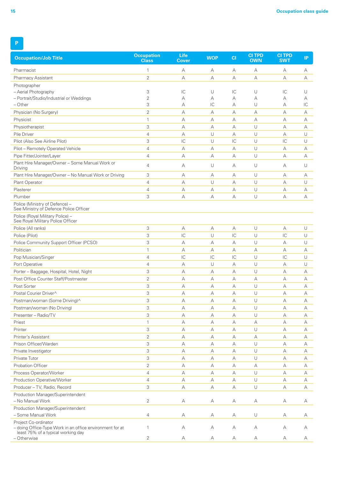| <b>Occupation/Job Title</b>                                                                                            | <b>Occupation</b><br><b>Class</b> | Life<br><b>Cover</b>    | <b>WOP</b>                | CI                      | <b>CITPD</b><br><b>OWN</b> | <b>CITPD</b><br><b>SWT</b> | IP |
|------------------------------------------------------------------------------------------------------------------------|-----------------------------------|-------------------------|---------------------------|-------------------------|----------------------------|----------------------------|----|
| Pharmacist                                                                                                             | 1                                 | А                       | А                         | А                       | А                          | A                          | А  |
| <b>Pharmacy Assistant</b>                                                                                              | $\overline{2}$                    | А                       | А                         | А                       | А                          | А                          | А  |
| Photographer                                                                                                           |                                   |                         |                           |                         |                            |                            |    |
| - Aerial Photography                                                                                                   | 3                                 | IC                      | U                         | IC                      | U                          | IC                         | U  |
| - Portrait/Studio/Industrial or Weddings                                                                               | $\overline{2}$                    | А                       | А                         | А                       | А                          | А                          | А  |
| $-$ Other                                                                                                              | 3                                 | А                       | IC                        | А                       | U                          | А                          | IC |
| Physician (No Surgery)                                                                                                 | $\overline{2}$                    | А                       | А                         | А                       | А                          | A                          | А  |
| Physicist                                                                                                              | $\mathbf{1}$                      | А                       | А                         | А                       | А                          | A                          | А  |
| Physiotherapist                                                                                                        | 3                                 | А                       | А                         | А                       | U                          | A                          | A  |
| Pile Driver                                                                                                            | $\overline{4}$                    | А                       | U                         | А                       | U                          | A                          | U  |
| Pilot (Also See Airline Pilot)                                                                                         | 3                                 | $\overline{\mathsf{C}}$ | U                         | $\overline{\mathsf{C}}$ | U                          | IC                         | U  |
| Pilot - Remotely Operated Vehicle                                                                                      | $\overline{4}$                    | А                       | А                         | А                       | U                          | А                          | А  |
| Pipe Fitter/Jointer/Layer                                                                                              | $\overline{4}$                    | А                       | А                         | A                       | $\cup$                     | A                          | A  |
| Plant Hire Manager/Owner - Some Manual Work or<br>Driving                                                              | 4                                 | А                       | U                         | А                       | U                          | A                          | U  |
| Plant Hire Manager/Owner - No Manual Work or Driving                                                                   | 3                                 | А                       | А                         | А                       | U                          | A                          | А  |
| Plant Operator                                                                                                         | $\overline{4}$                    | А                       | U                         | А                       | U                          | A                          | U  |
| Plasterer                                                                                                              | $\overline{4}$                    | А                       | А                         | А                       | U                          | А                          | А  |
| Plumber                                                                                                                | 3                                 | А                       | А                         | А                       | $\cup$                     | А                          | А  |
| Police (Ministry of Defence) -<br>See Ministry of Defence Police Officer                                               |                                   |                         |                           |                         |                            |                            |    |
| Police (Royal Military Police) -<br>See Royal Military Police Officer                                                  |                                   |                         |                           |                         |                            |                            |    |
| Police (All ranks)                                                                                                     | 3                                 | А                       | А                         | А                       | $\cup$                     | А                          | U  |
| Police (Pilot)                                                                                                         | 3                                 | $\overline{\mathsf{C}}$ | U                         | $\overline{\mathsf{C}}$ | U                          | IC                         | U  |
| Police Community Support Officer (PCSO)                                                                                | 3                                 | А                       | А                         | A                       | U                          | A                          | U  |
| Politician                                                                                                             | $\mathbf{1}$                      | А                       | А                         | А                       | А                          | A                          | А  |
| Pop Musician/Singer                                                                                                    | $\overline{4}$                    | IC                      | $\mathsf{IC}$             | IC                      | U                          | IC                         | U  |
| Port Operative                                                                                                         | $\overline{4}$                    | А                       | $\cup$                    | А                       | U                          | A                          | U  |
| Porter - Baggage, Hospital, Hotel, Night                                                                               | 3                                 | А                       | А                         | А                       | $\cup$                     | A                          | А  |
| Post Office Counter Staff/Postmaster                                                                                   | $\overline{2}$                    | А                       | А                         | А                       | А                          | A                          | А  |
| Post Sorter                                                                                                            | 3                                 | А                       | А                         | А                       | U                          | А                          | А  |
| Postal Courier Driver^                                                                                                 | 3                                 | А                       | А                         | А                       | U                          | A                          | А  |
| Postman/woman (Some Driving)^                                                                                          | 3                                 | А                       | А                         | А                       | $\cup$                     | A                          | A  |
| Postman/woman (No Driving)                                                                                             | 3                                 | А                       | А                         | А                       | $\cup$                     | А                          | А  |
| Presenter - Radio/TV                                                                                                   | 3                                 | А                       | А                         | А                       | $\cup$                     | А                          | А  |
| Priest                                                                                                                 | $\mathbf{1}$                      | А                       | А                         | А                       | А                          | А                          | А  |
| Printer                                                                                                                | 3                                 | А                       | А                         | А                       | $\cup$                     | А                          | А  |
| Printer's Assistant                                                                                                    | $\overline{2}$                    | А                       | А                         | А                       | А                          | А                          | А  |
| Prison Officer/Warden                                                                                                  | 3                                 | А                       | А                         | А                       | $\cup$                     | А                          | А  |
| Private Investigator                                                                                                   | 3                                 | А                       | А                         | А                       | $\cup$                     | А                          | А  |
| Private Tutor                                                                                                          | 3                                 | А                       | А                         | А                       | $\cup$                     | А                          | А  |
| Probation Officer                                                                                                      | $\overline{2}$                    | А                       | А                         | А                       | А                          | А                          | А  |
| Process Operator/Worker                                                                                                | $\overline{4}$                    | А                       | $\boldsymbol{\mathsf{A}}$ | А                       | $\cup$                     | А                          | А  |
| Production Operative/Worker                                                                                            | $\overline{4}$                    | А                       | А                         | А                       | U                          | А                          | А  |
| Producer - TV, Radio, Record                                                                                           | 3                                 | А                       | А                         | А                       | $\cup$                     | А                          | А  |
| Production Manager/Superintendent                                                                                      |                                   |                         |                           |                         |                            |                            |    |
| - No Manual Work                                                                                                       | $\overline{2}$                    | А                       | А                         | А                       | А                          | А                          | А  |
| Production Manager/Superintendent                                                                                      |                                   |                         |                           |                         |                            |                            |    |
| - Some Manual Work                                                                                                     | 4                                 | А                       | А                         | А                       | $\cup$                     | А                          | А  |
| Project Co-ordinator<br>- doing Office-Type Work in an office environment for at<br>least 75% of a typical working day | $\mathbf{1}$                      | А                       | А                         | А                       | А                          | А                          | А  |
| - Otherwise                                                                                                            | 2                                 | А                       | А                         | А                       | А                          | А                          | А  |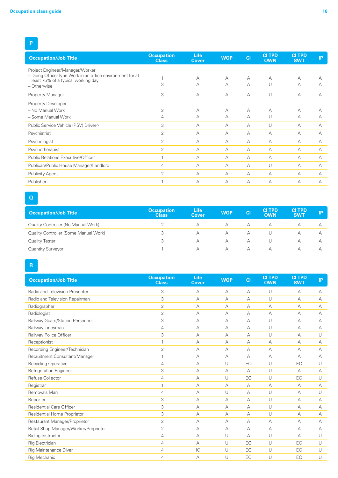## **P**

| <b>Occupation/Job Title</b>                                                                    | <b>Occupation</b><br><b>Class</b> | <b>Life</b><br><b>Cover</b> | <b>WOP</b> | C1 | <b>CITPD</b><br><b>OWN</b> | <b>CITPD</b><br><b>SWT</b> | IP |
|------------------------------------------------------------------------------------------------|-----------------------------------|-----------------------------|------------|----|----------------------------|----------------------------|----|
| Project Engineer/Manager/Worker                                                                |                                   |                             |            |    |                            |                            |    |
| - Doing Office-Type Work in an office environment for at<br>least 75% of a typical working day |                                   | А                           | A          | А  | A                          | А                          |    |
| - Otherwise                                                                                    | 3                                 | A                           | A          | А  | U                          | А                          | A  |
| Property Manager                                                                               | 3                                 | A                           | $\forall$  | А  | U                          | А                          | А  |
| Property Developer                                                                             |                                   |                             |            |    |                            |                            |    |
| - No Manual Work                                                                               | 2                                 | А                           | A          | А  | A                          | А                          |    |
| - Some Manual Work                                                                             | 4                                 | А                           | A          | А  | U                          | А                          | А  |
| Public Service Vehicle (PSV) Driver^                                                           | 3                                 | A                           | A          | А  | U                          | А                          | А  |
| Psychiatrist                                                                                   | 2                                 | A                           | A          | А  | A                          | А                          | А  |
| Psychologist                                                                                   | $\overline{2}$                    | А                           | A          | А  | A                          | А                          | А  |
| Psychotherapist                                                                                | 2                                 | A                           | A          | А  | A                          | А                          | A  |
| Public Relations Executive/Officer                                                             |                                   | А                           | А          | А  | A                          | А                          | А  |
| Publican/Public House Manager/Landlord                                                         | 4                                 | A                           | A          | А  | U                          | A                          | A  |
| <b>Publicity Agent</b>                                                                         | $\overline{2}$                    | $\forall$                   | А          | A  | A                          | А                          | А  |
| Publisher                                                                                      |                                   | А                           | A          | А  | $\forall$                  | А                          | А  |

**Q**

| <b>Occupation/Job Title</b>           | <b>Occupation</b><br><b>Class</b> | Life<br><b>Cover</b> | <b>WOP</b> | <b>CI</b> | <b>CITPD</b><br><b>OWN</b> | <b>CITPD</b><br><b>SWT</b> | IP |
|---------------------------------------|-----------------------------------|----------------------|------------|-----------|----------------------------|----------------------------|----|
| Quality Controller (No Manual Work)   |                                   |                      | $\forall$  |           | А                          |                            |    |
| Quality Controller (Some Manual Work) |                                   |                      | $\Delta$   | А         |                            | Α                          |    |
| Quality Tester                        | 3                                 |                      | А          | А         |                            |                            |    |
| <b>Quantity Surveyor</b>              |                                   |                      | А          | Д         | Д                          | А                          |    |

**R**

| <b>Occupation/Job Title</b>           | <b>Occupation</b><br><b>Class</b> | Life<br><b>Cover</b> | <b>WOP</b> | CI | <b>CITPD</b><br><b>OWN</b> | <b>CI TPD</b><br><b>SWT</b> | IP     |
|---------------------------------------|-----------------------------------|----------------------|------------|----|----------------------------|-----------------------------|--------|
| Radio and Television Presenter        | 3                                 | А                    | А          | А  | U                          | А                           | А      |
| Radio and Television Repairman        | 3                                 | А                    | А          | A  | $\cup$                     | А                           | А      |
| Radiographer                          | $\overline{2}$                    | $\overline{A}$       | А          | A  | $\forall$                  | $\overline{A}$              | A      |
| Radiologist                           | $\overline{2}$                    | A                    | A          | А  | $\forall$                  | A                           | A      |
| Railway Guard/Station Personnel       | 3                                 | $\forall$            | А          | A  | U                          | A                           | A      |
| Railway Linesman                      | $\overline{4}$                    | $\overline{A}$       | A          | A  | U                          | $\overline{A}$              | А      |
| Railway Police Officer                | 3                                 | $\overline{A}$       | А          | A  | $\cup$                     | A                           | $\cup$ |
| Receptionist                          | 1                                 | A                    | A          | А  | A                          | A                           | A      |
| Recording Engineer/Technician         | $\overline{2}$                    | A                    | А          | А  | A                          | A                           | А      |
| Recruitment Consultant/Manager        | 1                                 | $\overline{A}$       | A          | A  | $\forall$                  | A                           | A      |
| <b>Recycling Operative</b>            | 4                                 | $\overline{A}$       | $\cup$     | EO | U                          | EO                          | U      |
| <b>Refrigeration Engineer</b>         | 3                                 | $\forall$            | $\forall$  | A  | U                          | A                           | А      |
| Refuse Collector                      | $\overline{4}$                    | $\overline{A}$       | U          | EO | $\cup$                     | EO                          | U      |
| Registrar                             | 1                                 | A                    | A          | A  | $\forall$                  | A                           | А      |
| Removals Man                          | $\overline{4}$                    | $\overline{A}$       | U          | A  | U                          | $\overline{A}$              | U      |
| Reporter                              | 3                                 | A                    | A          | А  | U                          | A                           | A      |
| <b>Residential Care Officer</b>       | 3                                 | A                    | A          | A  | U                          | A                           | A      |
| Residential Home Proprietor           | 3                                 | A                    | A          | A  | $\cup$                     | A                           | A      |
| Restaurant Manager/Proprietor         | $\overline{2}$                    | $\overline{A}$       | А          | A  | $\forall$                  | $\overline{A}$              | A      |
| Retail Shop Manager/Worker/Proprietor | $\overline{2}$                    | $\forall$            | А          | A  | A                          | A                           | А      |
| Riding Instructor                     | 4                                 | $\forall$            | U          | A  | $\cup$                     | A                           | U      |
| <b>Rig Electrician</b>                | 4                                 | $\overline{A}$       | $\cup$     | EO | $\cup$                     | EO                          | $\cup$ |
| Rig Maintenance Diver                 | 4                                 | IC                   | U          | EO | U                          | EO                          | U      |
| <b>Rig Mechanic</b>                   | 4                                 | А                    | U          | EO | $\cup$                     | EO                          | $\cup$ |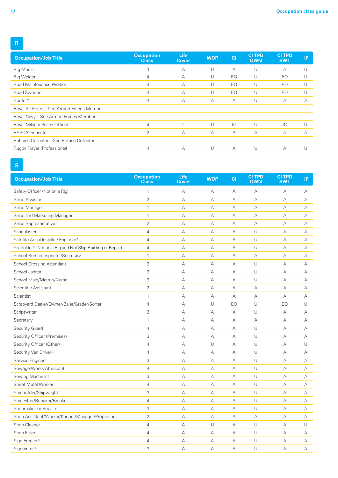| <b>Occupation/Job Title</b>               | <b>Occupation</b><br><b>Class</b> | <b>Life</b><br>Cover | <b>WOP</b> | <b>CI</b> | <b>CITPD</b><br><b>OWN</b> | <b>CITPD</b><br><b>SWT</b> | IP. |
|-------------------------------------------|-----------------------------------|----------------------|------------|-----------|----------------------------|----------------------------|-----|
| <b>Rig Medic</b>                          | 3                                 | $\overline{A}$       | U          | А         | U                          | A                          |     |
| <b>Rig Welder</b>                         | 4                                 | A                    | U          | EO        | U                          | EO                         |     |
| Road Maintenance Worker                   | 4                                 | A                    | U          | EO        | U                          | EO                         |     |
| Road Sweeper                              | 4                                 | A                    | U          | EO        | U                          | EO                         | U   |
| Roofer*                                   | 4                                 | A                    | A          | А         | U                          | А                          | A   |
| Royal Air Force - See Armed Forces Member |                                   |                      |            |           |                            |                            |     |
| Royal Navy - See Armed Forces Member      |                                   |                      |            |           |                            |                            |     |
| Royal Military Police Officer             | $\overline{4}$                    | IC                   | U          | IC        | U                          | $\mathsf{IC}$              |     |
| <b>RSPCA</b> Inspector                    | 2                                 | A                    | A          | А         | A                          | A                          | А   |
| Rubbish Collector - See Refuse Collector  |                                   |                      |            |           |                            |                            |     |
| Rugby Player (Professional)               | 4                                 | А                    | U          | А         | U                          | А                          |     |
|                                           |                                   |                      |            |           |                            |                            |     |

### **S**

| <b>Occupation/Job Title</b>                                | <b>Occupation</b><br><b>Class</b> | Life<br><b>Cover</b> | <b>WOP</b>  | CI | <b>CI TPD</b><br><b>OWN</b> | <b>CI TPD</b><br><b>SWT</b> | IP |
|------------------------------------------------------------|-----------------------------------|----------------------|-------------|----|-----------------------------|-----------------------------|----|
| Safety Officer (Not on a Rig)                              | 1                                 | A                    | А           | А  | А                           | A                           | А  |
| Sales Assistant                                            | $\overline{2}$                    | А                    | А           | А  | А                           | А                           | А  |
| Sales Manager                                              | $\mathbf{1}$                      | А                    | А           | А  | А                           | А                           | А  |
| Sales and Marketing Manager                                | $\mathbf{1}$                      | А                    | А           | А  | А                           | А                           | A  |
| Sales Representative                                       | $\overline{2}$                    | А                    | А           | А  | А                           | A                           | А  |
| Sandblaster                                                | $\overline{4}$                    | А                    | А           | A  | U                           | А                           | А  |
| Satellite Aerial Installer/ Engineer*                      | $\overline{4}$                    | А                    | А           | А  | U                           | $\forall$                   | А  |
| Scaffolder* (Not on a Rig and Not Ship Building or Repair) | $\overline{4}$                    | А                    | А           | A  | U                           | А                           | А  |
| School Bursar/Inspector/Secretary                          | $\mathbf{1}$                      | А                    | А           | А  | А                           | А                           | А  |
| <b>School Crossing Attendant</b>                           | 3                                 | А                    | А           | А  | U                           | А                           | А  |
| School Janitor                                             | 3                                 | А                    | А           | А  | U                           | А                           | А  |
| School Maid/Matron/Nurse                                   | 3                                 | A                    | А           | A  | $\cup$                      | А                           | A  |
| Scientific Assistant                                       | 2                                 | А                    | $\mathbb A$ | А  | А                           | А                           | А  |
| Scientist                                                  | $\mathbf{1}$                      | А                    | А           | А  | А                           | А                           | А  |
| Scrapyard Dealer/Owner/Baler/Grader/Sorter                 | $\overline{4}$                    | А                    | U           | EO | U                           | EO                          | U  |
| Scriptwriter                                               | 3                                 | А                    | А           | А  | U                           | А                           | А  |
| Secretary                                                  | $\mathbf{1}$                      | А                    | А           | А  | А                           | А                           | А  |
| Security Guard                                             | $\overline{4}$                    | А                    | А           | A  | $\cup$                      | А                           | A  |
| Security Officer (Premises)                                | 3                                 | А                    | А           | А  | $\cup$                      | А                           | A  |
| Security Officer (Other)                                   | $\overline{4}$                    | А                    | $\cup$      | А  | U                           | А                           | U  |
| Security Van Driver^                                       | $\overline{4}$                    | A                    | А           | А  | $\cup$                      | А                           | А  |
| Service Engineer                                           | 3                                 | А                    | А           | А  | U                           | А                           | А  |
| Sewage Works Attendant                                     | $\overline{4}$                    | А                    | А           | А  | U                           | A                           | A  |
| Sewing Machinist                                           | 3                                 | А                    | $\mathbb A$ | А  | $\cup$                      | А                           | А  |
| Sheet Metal Worker                                         | $\overline{4}$                    | А                    | А           | А  | $\cup$                      | А                           | А  |
| Shipbuilder/Shipwright                                     | 3                                 | А                    | А           | А  | $\cup$                      | А                           | А  |
| Ship Fitter/Repairer/Breaker                               | $\overline{4}$                    | А                    | А           | А  | U                           | A                           | А  |
| Shoemaker or Repairer                                      | 3                                 | А                    | А           | А  | U                           | A                           | А  |
| Shop Assistant/Worker/Keeper/Manager/Proprietor            | $\overline{2}$                    | А                    | A           | А  | А                           | A                           | A  |
| Shop Cleaner                                               | $\overline{4}$                    | А                    | $\cup$      | А  | $\cup$                      | А                           | U  |
| Shop Fitter                                                | $\overline{4}$                    | А                    | А           | А  | U                           | А                           | А  |
| Sign Erector*                                              | $\overline{4}$                    | А                    | А           | А  | $\cup$                      | А                           | А  |
| Signwriter*                                                | 3                                 | A                    | $\forall$   | A  | U                           | A                           | A  |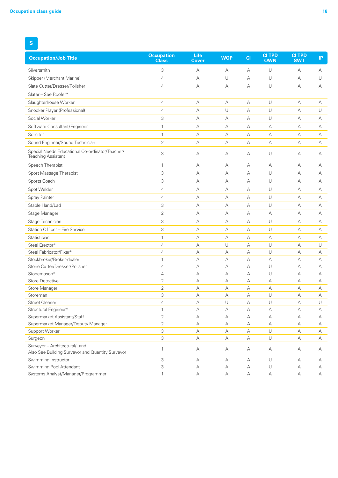**S**

| <b>Occupation/Job Title</b>                                                       | <b>Occupation</b><br><b>Class</b> | Life<br>Cover | <b>WOP</b> | CI          | <b>CI TPD</b><br><b>OWN</b> | <b>CI TPD</b><br><b>SWT</b> | IP     |
|-----------------------------------------------------------------------------------|-----------------------------------|---------------|------------|-------------|-----------------------------|-----------------------------|--------|
| Silversmith                                                                       | 3                                 | А             | А          | А           | U                           | А                           | А      |
| Skipper (Merchant Marine)                                                         | 4                                 | $\forall$     | U          | A           | U                           | A                           | U      |
| Slate Cutter/Dresser/Polisher                                                     | 4                                 | А             | А          | А           | U                           | А                           | А      |
| Slater - See Roofer*                                                              |                                   |               |            |             |                             |                             |        |
| Slaughterhouse Worker                                                             | 4                                 | А             | А          | А           | U                           | А                           | А      |
| Snooker Player (Professional)                                                     | 4                                 | A             | U          | А           | U                           | A                           | U      |
| Social Worker                                                                     | 3                                 | А             | А          | A           | U                           | $\forall$                   | А      |
| Software Consultant/Engineer                                                      | $\mathbf{1}$                      | А             | А          | А           | А                           | А                           | А      |
| Solicitor                                                                         | $\mathbf{1}$                      | А             | А          | A           | А                           | А                           | А      |
| Sound Engineer/Sound Technician                                                   | $\overline{2}$                    | А             | А          | А           | А                           | А                           | А      |
| Special Needs Educational Co-ordinator/Teacher/<br><b>Teaching Assistant</b>      | 3                                 | A             | А          | A           | U                           | A                           | А      |
| Speech Therapist                                                                  | $\mathbf{1}$                      | А             | А          | А           | А                           | А                           | А      |
| Sport Massage Therapist                                                           | 3                                 | А             | А          | $\forall$   | U                           | А                           | А      |
| Sports Coach                                                                      | 3                                 | $\forall$     | А          | A           | U                           | А                           | А      |
| Spot Welder                                                                       | 4                                 | А             | А          | А           | U                           | А                           | А      |
| Spray Painter                                                                     | 4                                 | $\forall$     | A          | A           | U                           | A                           | А      |
| Stable Hand/Lad                                                                   | 3                                 | А             | А          | А           | U                           | А                           | А      |
| Stage Manager                                                                     | $\overline{2}$                    | А             | А          | А           | А                           | А                           | А      |
| Stage Technician                                                                  | 3                                 | А             | А          | А           | U                           | А                           | А      |
| Station Officer - Fire Service                                                    | 3                                 | А             | А          | А           | U                           | А                           | А      |
| Statistician                                                                      | $\mathbf{1}$                      | А             | А          | А           | А                           | А                           | А      |
| Steel Erector*                                                                    | 4                                 | А             | U          | A           | U                           | А                           | U      |
| Steel Fabricator/Fixer*                                                           | 4                                 | А             | А          | А           | U                           | А                           | А      |
| Stockbroker/Broker-dealer                                                         | $\mathbf{1}$                      | $\forall$     | A          | A           | А                           | $\forall$                   | А      |
| Stone Cutter/Dresser/Polisher                                                     | 4                                 | А             | А          | A           | U                           | A                           | А      |
| Stonemason*                                                                       | 4                                 | А             | А          | A           | U                           | А                           | А      |
| <b>Store Detective</b>                                                            | 2                                 | А             | А          | А           | А                           | А                           | А      |
| Store Manager                                                                     | $\overline{2}$                    | А             | А          | А           | А                           | А                           | А      |
| Storeman                                                                          | 3                                 | А             | А          | A           | U                           | А                           | А      |
| <b>Street Cleaner</b>                                                             | 4                                 | А             | $\cup$     | A           | U                           | A                           | $\cup$ |
| Structural Engineer*                                                              | 1                                 | А             | А          | А           | А                           | А                           | А      |
| Supermarket Assistant/Staff                                                       | 2                                 | А             | А          | А           | А                           | А                           | А      |
| Supermarket Manager/Deputy Manager                                                | $\overline{2}$                    | А             | А          | А           | А                           | А                           | А      |
| Support Worker                                                                    | 3                                 | А             | А          | А           | U                           | А                           | А      |
| Surgeon                                                                           | 3                                 | А             | А          | A           | U                           | А                           | А      |
| Surveyor - Architectural/Land<br>Also See Building Surveyor and Quantity Surveyor | 1                                 | А             | А          | А           | А                           | А                           | А      |
| Swimming Instructor                                                               | 3                                 | А             | А          | А           | U                           | А                           | А      |
| Swimming Pool Attendant                                                           | 3                                 | А             | А          | $\mathbb A$ | U                           | А                           | А      |
| Systems Analyst/Manager/Programmer                                                | $\mathbf{1}$                      | А             | А          | А           | $\forall$                   | А                           | А      |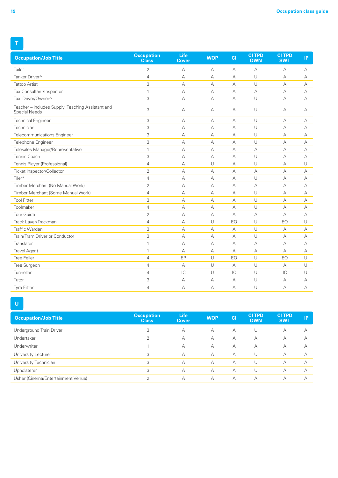| <b>Occupation/Job Title</b>                                               | <b>Occupation</b><br><b>Class</b> | Life<br>Cover  | <b>WOP</b>     | CI             | <b>CITPD</b><br><b>OWN</b> | <b>CI TPD</b><br><b>SWT</b> | IP.            |
|---------------------------------------------------------------------------|-----------------------------------|----------------|----------------|----------------|----------------------------|-----------------------------|----------------|
| Tailor                                                                    | $\overline{2}$                    | $\forall$      | А              | A              | А                          | A                           | А              |
| Tanker Driver^                                                            | $\overline{4}$                    | $\overline{A}$ | $\overline{A}$ | $\overline{A}$ | U                          | $\overline{A}$              | A              |
| <b>Tattoo Artist</b>                                                      | 3                                 | A              | А              | А              | U                          | $\forall$                   | А              |
| Tax Consultant/Inspector                                                  | $\mathbf{1}$                      | А              | А              | А              | А                          | А                           | А              |
| Taxi Driver/Owner^                                                        | 3                                 | А              | А              | $\forall$      | U                          | А                           | А              |
| Teacher - includes Supply, Teaching Assistant and<br><b>Special Needs</b> | 3                                 | А              | А              | А              | U                          | А                           | A              |
| <b>Technical Engineer</b>                                                 | 3                                 | А              | А              | А              | U                          | А                           | А              |
| Technician                                                                | 3                                 | $\overline{A}$ | А              | $\overline{A}$ | U                          | $\overline{A}$              | $\overline{A}$ |
| Telecommunications Engineer                                               | 3                                 | A              | A              | A              | U                          | A                           | А              |
| Telephone Engineer                                                        | 3                                 | $\overline{A}$ | A              | $\overline{A}$ | U                          | $\forall$                   | А              |
| Telesales Manager/Representative                                          | $\mathbf{1}$                      | А              | А              | А              | А                          | А                           | А              |
| Tennis Coach                                                              | 3                                 | A              | А              | A              | U                          | $\forall$                   | A              |
| Tennis Player (Professional)                                              | $\overline{4}$                    | $\overline{A}$ | U              | $\overline{A}$ | U                          | $\forall$                   | U              |
| Ticket Inspector/Collector                                                | $\overline{2}$                    | А              | А              | А              | А                          | А                           | А              |
| Tiler*                                                                    | $\overline{4}$                    | $\overline{A}$ | А              | А              | U                          | $\forall$                   | A              |
| Timber Merchant (No Manual Work)                                          | $\overline{2}$                    | A              | A              | A              | А                          | $\forall$                   | A              |
| Timber Merchant (Some Manual Work)                                        | $\overline{4}$                    | $\forall$      | А              | $\forall$      | U                          | $\forall$                   | A              |
| <b>Tool Fitter</b>                                                        | 3                                 | А              | А              | А              | U                          | А                           | A              |
| Toolmaker                                                                 | $\overline{4}$                    | $\forall$      | А              | $\forall$      | U                          | $\forall$                   | A              |
| <b>Tour Guide</b>                                                         | $\overline{2}$                    | $\overline{A}$ | A              | $\overline{A}$ | А                          | $\forall$                   | А              |
| Track Layer/Trackman                                                      | $\overline{4}$                    | A              | U              | EO             | U                          | EO                          | U              |
| <b>Traffic Warden</b>                                                     | 3                                 | $\forall$      | A              | $\overline{A}$ | U                          | $\forall$                   | А              |
| Train/Tram Driver or Conductor                                            | 3                                 | $\overline{A}$ | А              | $\overline{A}$ | U                          | А                           | А              |
| Translator                                                                | $\mathbf{1}$                      | $\overline{A}$ | A              | $\overline{A}$ | А                          | $\forall$                   | A              |
| <b>Travel Agent</b>                                                       | $\mathbf{1}$                      | А              | А              | А              | А                          | А                           | А              |
| <b>Tree Feller</b>                                                        | $\overline{4}$                    | EP             | U              | EO             | U                          | EO                          | U              |
| Tree Surgeon                                                              | $\overline{4}$                    | $\overline{A}$ | U              | $\overline{A}$ | U                          | $\forall$                   | U              |
| Tunneller                                                                 | $\overline{4}$                    | IC             | U              | IC             | U                          | IC                          | U              |
| Tutor                                                                     | 3                                 | A              | А              | A              | U                          | $\forall$                   | A              |
| <b>Tyre Fitter</b>                                                        | $\overline{4}$                    | A              | А              | $\forall$      | U                          | $\forall$                   | A              |

## **U**

| <b>Occupation</b><br><b>Class</b> | <b>Life</b><br>Cover | <b>WOP</b> | C1 | <b>CITPD</b><br><b>OWN</b> | <b>CI TPD</b><br><b>SWT</b> | IP. |
|-----------------------------------|----------------------|------------|----|----------------------------|-----------------------------|-----|
| 3                                 | А                    | A          | А  | U                          | А                           | А   |
| $\mathcal{P}$                     | А                    | A          | A  | А                          | А                           | А   |
|                                   | А                    | A          | А  | А                          | А                           | А   |
| 3                                 | А                    | A          | A  | U                          | А                           | А   |
| 3                                 | А                    | A          | А  | U                          | А                           | А   |
| 3                                 | А                    | A          | A  | U                          | А                           | А   |
| ↷                                 | А                    | A          | А  | $\forall$                  | А                           | А   |
|                                   |                      |            |    |                            |                             |     |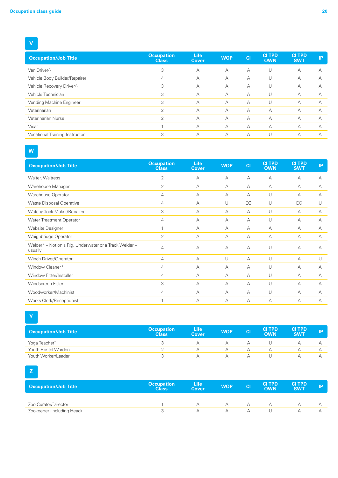## **V**

| <b>Occupation/Job Title</b>    | <b>Occupation</b><br><b>Class</b> | <b>Life</b><br>Cover | <b>WOP</b> | C1 | <b>CITPD</b><br><b>OWN</b> | <b>CITPD</b><br><b>SWT</b> | IP        |
|--------------------------------|-----------------------------------|----------------------|------------|----|----------------------------|----------------------------|-----------|
| Van Driver^                    | 3                                 | A                    | $\forall$  | A  | U                          | А                          | A         |
| Vehicle Body Builder/Repairer  | 4                                 | А                    | А          | А  | U                          | А                          | A         |
| Vehicle Recovery Driver^       | 3                                 | А                    | A          | А  | U                          | А                          | $\forall$ |
| Vehicle Technician             | 3                                 | А                    | A          | A  | U                          | А                          | $\forall$ |
| Vending Machine Engineer       | 3                                 | А                    | A          | А  | U                          | А                          | А         |
| Veterinarian                   | っ                                 | А                    | $\forall$  | А  | A                          | А                          | $\forall$ |
| Veterinarian Nurse             | 2                                 | А                    | $\forall$  | А  | A                          | А                          | А         |
| Vicar                          |                                   | А                    | $\forall$  | A  | A                          | А                          | А         |
| Vocational Training Instructor | 3                                 | А                    | А          | A  |                            | А                          |           |

# **W**

| <b>Occupation/Job Title</b>                                       | <b>Occupation</b><br><b>Class</b> | <b>Life</b><br><b>Cover</b> | <b>WOP</b> | C1 | <b>CITPD</b><br><b>OWN</b> | <b>CI TPD</b><br><b>SWT</b> | IP        |
|-------------------------------------------------------------------|-----------------------------------|-----------------------------|------------|----|----------------------------|-----------------------------|-----------|
| Waiter, Waitress                                                  | $\overline{2}$                    | A                           | A          | А  | A                          | $\overline{A}$              | A         |
| Warehouse Manager                                                 | $\overline{2}$                    | A                           | A          | A  | A                          | A                           | А         |
| Warehouse Operator                                                | 4                                 | A                           | A          | А  | U                          | A                           | A         |
| <b>Waste Disposal Operative</b>                                   | 4                                 | А                           | U          | EO | U                          | EO                          | U         |
| Watch/Clock Maker/Repairer                                        | 3                                 | А                           | $\forall$  | А  | U                          | A                           | A         |
| <b>Water Treatment Operator</b>                                   | 4                                 | $\forall$                   | A          | A  | U                          | A                           | $\forall$ |
| Website Designer                                                  |                                   | $\forall$                   | A          | A  | А                          | A                           | $\forall$ |
| Weighbridge Operator                                              | $\overline{2}$                    | А                           | A          | А  | A                          | A                           | A         |
| Welder* - Not on a Rig, Underwater or a Track Welder -<br>usually | 4                                 | А                           | A          | A  | U                          | A                           | A         |
| Winch Driver/Operator                                             | 4                                 | A                           | U          | A  | U                          | A                           | U         |
| Window Cleaner*                                                   | 4                                 | А                           | A          | А  | U                          | A                           | А         |
| Window Fitter/Installer                                           | 4                                 | А                           | A          | А  | U                          | А                           | А         |
| Windscreen Fitter                                                 | 3                                 | A                           | A          | А  | U                          | $\overline{A}$              | A         |
| Woodworker/Machinist                                              | 4                                 | $\forall$                   | A          | A  | U                          | A                           | $\forall$ |
| Works Clerk/Receptionist                                          |                                   | А                           | A          | А  | А                          | А                           | А         |

**Y**

| <b>Occupation/Job Title</b> | <b>Occupation</b><br><b>Class</b> | <b>Life</b><br><b>Cover</b> | <b>WOP</b> | <b>CI</b> | <b>CITPD</b><br><b>OWN</b> | <b>CITPD</b><br><b>SWT</b> | IP |
|-----------------------------|-----------------------------------|-----------------------------|------------|-----------|----------------------------|----------------------------|----|
| Yoga Teacher <sup>†</sup>   |                                   |                             |            |           |                            |                            |    |
| Youth Hostel Warden         |                                   |                             |            |           |                            |                            |    |
| Youth Worker/Leader         |                                   |                             |            |           |                            |                            |    |

# **Z**

| <b>Occupation/Job Title</b> | <b>Occupation</b><br><b>Class</b> | <b>Life</b><br>Cover | <b>WOP</b> | <b>CI</b> | <b>CITPD</b><br><b>OWN</b> | <b>CITPD</b><br><b>SWT</b> | IP. |
|-----------------------------|-----------------------------------|----------------------|------------|-----------|----------------------------|----------------------------|-----|
| Zoo Curator/Director        |                                   |                      |            |           |                            |                            |     |
| Zookeeper (including Head)  |                                   |                      |            |           |                            |                            |     |